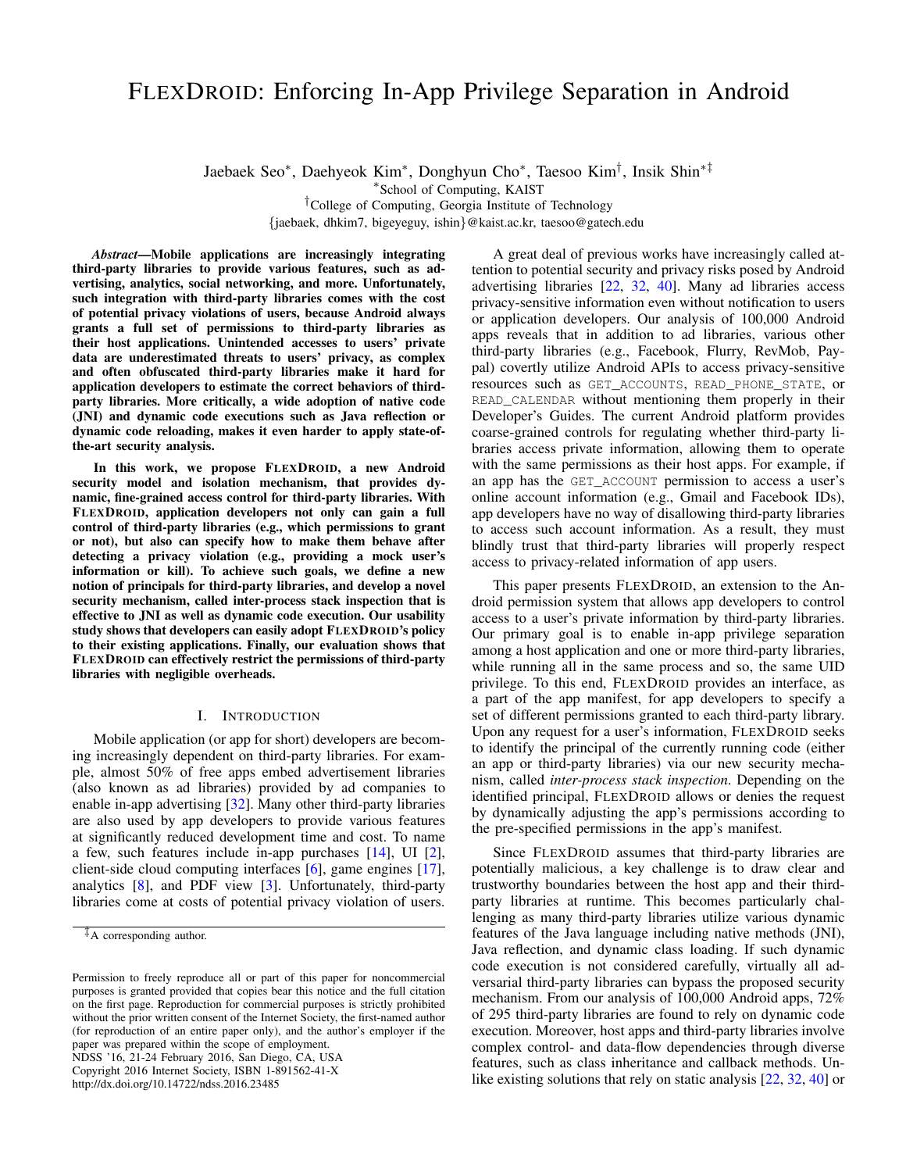# FLEXDROID: Enforcing In-App Privilege Separation in Android

Jaebaek Seo<sup>∗</sup> , Daehyeok Kim<sup>∗</sup> , Donghyun Cho<sup>∗</sup> , Taesoo Kim† , Insik Shin∗‡

∗ School of Computing, KAIST

†College of Computing, Georgia Institute of Technology

{jaebaek, dhkim7, bigeyeguy, ishin}@kaist.ac.kr, taesoo@gatech.edu

*Abstract*—Mobile applications are increasingly integrating third-party libraries to provide various features, such as advertising, analytics, social networking, and more. Unfortunately, such integration with third-party libraries comes with the cost of potential privacy violations of users, because Android always grants a full set of permissions to third-party libraries as their host applications. Unintended accesses to users' private data are underestimated threats to users' privacy, as complex and often obfuscated third-party libraries make it hard for application developers to estimate the correct behaviors of thirdparty libraries. More critically, a wide adoption of native code (JNI) and dynamic code executions such as Java reflection or dynamic code reloading, makes it even harder to apply state-ofthe-art security analysis.

In this work, we propose FLEXDROID, a new Android security model and isolation mechanism, that provides dynamic, fine-grained access control for third-party libraries. With FLEXDROID, application developers not only can gain a full control of third-party libraries (e.g., which permissions to grant or not), but also can specify how to make them behave after detecting a privacy violation (e.g., providing a mock user's information or kill). To achieve such goals, we define a new notion of principals for third-party libraries, and develop a novel security mechanism, called inter-process stack inspection that is effective to JNI as well as dynamic code execution. Our usability study shows that developers can easily adopt FLEXDROID's policy to their existing applications. Finally, our evaluation shows that FLEXDROID can effectively restrict the permissions of third-party libraries with negligible overheads.

# I. INTRODUCTION

Mobile application (or app for short) developers are becoming increasingly dependent on third-party libraries. For example, almost 50% of free apps embed advertisement libraries (also known as ad libraries) provided by ad companies to enable in-app advertising [\[32\]](#page-14-0). Many other third-party libraries are also used by app developers to provide various features at significantly reduced development time and cost. To name a few, such features include in-app purchases [\[14\]](#page-14-1), UI [\[2\]](#page-14-2), client-side cloud computing interfaces [\[6\]](#page-14-3), game engines [\[17\]](#page-14-4), analytics [\[8\]](#page-14-5), and PDF view [\[3\]](#page-14-6). Unfortunately, third-party libraries come at costs of potential privacy violation of users.

NDSS '16, 21-24 February 2016, San Diego, CA, USA Copyright 2016 Internet Society, ISBN 1-891562-41-X

http://dx.doi.org/10.14722/ndss.2016.23485

A great deal of previous works have increasingly called attention to potential security and privacy risks posed by Android advertising libraries [\[22,](#page-14-7) [32,](#page-14-0) [40\]](#page-14-8). Many ad libraries access privacy-sensitive information even without notification to users or application developers. Our analysis of 100,000 Android apps reveals that in addition to ad libraries, various other third-party libraries (e.g., Facebook, Flurry, RevMob, Paypal) covertly utilize Android APIs to access privacy-sensitive resources such as GET\_ACCOUNTS, READ\_PHONE\_STATE, or READ\_CALENDAR without mentioning them properly in their Developer's Guides. The current Android platform provides coarse-grained controls for regulating whether third-party libraries access private information, allowing them to operate with the same permissions as their host apps. For example, if an app has the GET\_ACCOUNT permission to access a user's online account information (e.g., Gmail and Facebook IDs), app developers have no way of disallowing third-party libraries to access such account information. As a result, they must blindly trust that third-party libraries will properly respect access to privacy-related information of app users.

This paper presents FLEXDROID, an extension to the Android permission system that allows app developers to control access to a user's private information by third-party libraries. Our primary goal is to enable in-app privilege separation among a host application and one or more third-party libraries, while running all in the same process and so, the same UID privilege. To this end, FLEXDROID provides an interface, as a part of the app manifest, for app developers to specify a set of different permissions granted to each third-party library. Upon any request for a user's information, FLEXDROID seeks to identify the principal of the currently running code (either an app or third-party libraries) via our new security mechanism, called *inter-process stack inspection*. Depending on the identified principal, FLEXDROID allows or denies the request by dynamically adjusting the app's permissions according to the pre-specified permissions in the app's manifest.

Since FLEXDROID assumes that third-party libraries are potentially malicious, a key challenge is to draw clear and trustworthy boundaries between the host app and their thirdparty libraries at runtime. This becomes particularly challenging as many third-party libraries utilize various dynamic features of the Java language including native methods (JNI), Java reflection, and dynamic class loading. If such dynamic code execution is not considered carefully, virtually all adversarial third-party libraries can bypass the proposed security mechanism. From our analysis of 100,000 Android apps, 72% of 295 third-party libraries are found to rely on dynamic code execution. Moreover, host apps and third-party libraries involve complex control- and data-flow dependencies through diverse features, such as class inheritance and callback methods. Un-like existing solutions that rely on static analysis [\[22,](#page-14-7) [32,](#page-14-0) [40\]](#page-14-8) or

<sup>‡</sup>A corresponding author.

Permission to freely reproduce all or part of this paper for noncommercial purposes is granted provided that copies bear this notice and the full citation on the first page. Reproduction for commercial purposes is strictly prohibited without the prior written consent of the Internet Society, the first-named author (for reproduction of an entire paper only), and the author's employer if the paper was prepared within the scope of employment.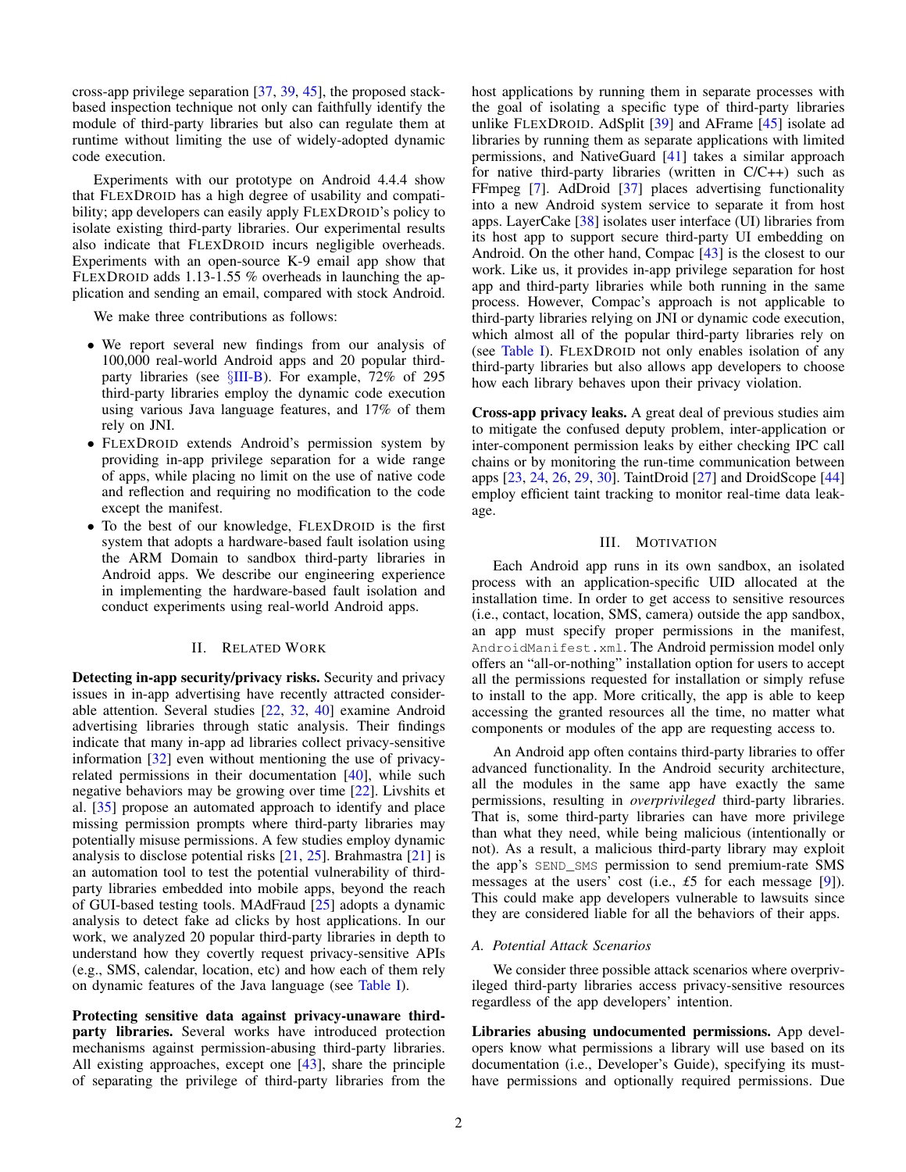cross-app privilege separation [\[37,](#page-14-9) [39,](#page-14-10) [45\]](#page-14-11), the proposed stackbased inspection technique not only can faithfully identify the module of third-party libraries but also can regulate them at runtime without limiting the use of widely-adopted dynamic code execution.

Experiments with our prototype on Android 4.4.4 show that FLEXDROID has a high degree of usability and compatibility; app developers can easily apply FLEXDROID's policy to isolate existing third-party libraries. Our experimental results also indicate that FLEXDROID incurs negligible overheads. Experiments with an open-source K-9 email app show that FLEXDROID adds 1.13-1.55 % overheads in launching the application and sending an email, compared with stock Android.

We make three contributions as follows:

- We report several new findings from our analysis of 100,000 real-world Android apps and 20 popular thirdparty libraries (see §[III-B\)](#page-2-0). For example, 72% of 295 third-party libraries employ the dynamic code execution using various Java language features, and 17% of them rely on JNI.
- FLEXDROID extends Android's permission system by providing in-app privilege separation for a wide range of apps, while placing no limit on the use of native code and reflection and requiring no modification to the code except the manifest.
- To the best of our knowledge, FLEXDROID is the first system that adopts a hardware-based fault isolation using the ARM Domain to sandbox third-party libraries in Android apps. We describe our engineering experience in implementing the hardware-based fault isolation and conduct experiments using real-world Android apps.

# II. RELATED WORK

Detecting in-app security/privacy risks. Security and privacy issues in in-app advertising have recently attracted considerable attention. Several studies [\[22,](#page-14-7) [32,](#page-14-0) [40\]](#page-14-8) examine Android advertising libraries through static analysis. Their findings indicate that many in-app ad libraries collect privacy-sensitive information [\[32\]](#page-14-0) even without mentioning the use of privacyrelated permissions in their documentation  $[40]$ , while such negative behaviors may be growing over time [\[22\]](#page-14-7). Livshits et al. [\[35\]](#page-14-12) propose an automated approach to identify and place missing permission prompts where third-party libraries may potentially misuse permissions. A few studies employ dynamic analysis to disclose potential risks  $[21, 25]$  $[21, 25]$  $[21, 25]$ . Brahmastra  $[21]$  is an automation tool to test the potential vulnerability of thirdparty libraries embedded into mobile apps, beyond the reach of GUI-based testing tools. MAdFraud [\[25\]](#page-14-14) adopts a dynamic analysis to detect fake ad clicks by host applications. In our work, we analyzed 20 popular third-party libraries in depth to understand how they covertly request privacy-sensitive APIs (e.g., SMS, calendar, location, etc) and how each of them rely on dynamic features of the Java language (see [Table I\)](#page-2-1).

Protecting sensitive data against privacy-unaware thirdparty libraries. Several works have introduced protection mechanisms against permission-abusing third-party libraries. All existing approaches, except one [\[43\]](#page-14-15), share the principle of separating the privilege of third-party libraries from the host applications by running them in separate processes with the goal of isolating a specific type of third-party libraries unlike FLEXDROID. AdSplit [\[39\]](#page-14-10) and AFrame [\[45\]](#page-14-11) isolate ad libraries by running them as separate applications with limited permissions, and NativeGuard [\[41\]](#page-14-16) takes a similar approach for native third-party libraries (written in C/C++) such as FFmpeg [\[7\]](#page-14-17). AdDroid [\[37\]](#page-14-9) places advertising functionality into a new Android system service to separate it from host apps. LayerCake [\[38\]](#page-14-18) isolates user interface (UI) libraries from its host app to support secure third-party UI embedding on Android. On the other hand, Compac [\[43\]](#page-14-15) is the closest to our work. Like us, it provides in-app privilege separation for host app and third-party libraries while both running in the same process. However, Compac's approach is not applicable to third-party libraries relying on JNI or dynamic code execution, which almost all of the popular third-party libraries rely on (see [Table I\)](#page-2-1). FLEXDROID not only enables isolation of any third-party libraries but also allows app developers to choose how each library behaves upon their privacy violation.

Cross-app privacy leaks. A great deal of previous studies aim to mitigate the confused deputy problem, inter-application or inter-component permission leaks by either checking IPC call chains or by monitoring the run-time communication between apps [\[23,](#page-14-19) [24,](#page-14-20) [26,](#page-14-21) [29,](#page-14-22) [30\]](#page-14-23). TaintDroid [\[27\]](#page-14-24) and DroidScope [\[44\]](#page-14-25) employ efficient taint tracking to monitor real-time data leakage.

#### III. MOTIVATION

<span id="page-1-0"></span>Each Android app runs in its own sandbox, an isolated process with an application-specific UID allocated at the installation time. In order to get access to sensitive resources (i.e., contact, location, SMS, camera) outside the app sandbox, an app must specify proper permissions in the manifest, AndroidManifest.xml. The Android permission model only offers an "all-or-nothing" installation option for users to accept all the permissions requested for installation or simply refuse to install to the app. More critically, the app is able to keep accessing the granted resources all the time, no matter what components or modules of the app are requesting access to.

An Android app often contains third-party libraries to offer advanced functionality. In the Android security architecture, all the modules in the same app have exactly the same permissions, resulting in *overprivileged* third-party libraries. That is, some third-party libraries can have more privilege than what they need, while being malicious (intentionally or not). As a result, a malicious third-party library may exploit the app's SEND\_SMS permission to send premium-rate SMS messages at the users' cost (i.e., *£*5 for each message [\[9\]](#page-14-26)). This could make app developers vulnerable to lawsuits since they are considered liable for all the behaviors of their apps.

# *A. Potential Attack Scenarios*

We consider three possible attack scenarios where overprivileged third-party libraries access privacy-sensitive resources regardless of the app developers' intention.

Libraries abusing undocumented permissions. App developers know what permissions a library will use based on its documentation (i.e., Developer's Guide), specifying its musthave permissions and optionally required permissions. Due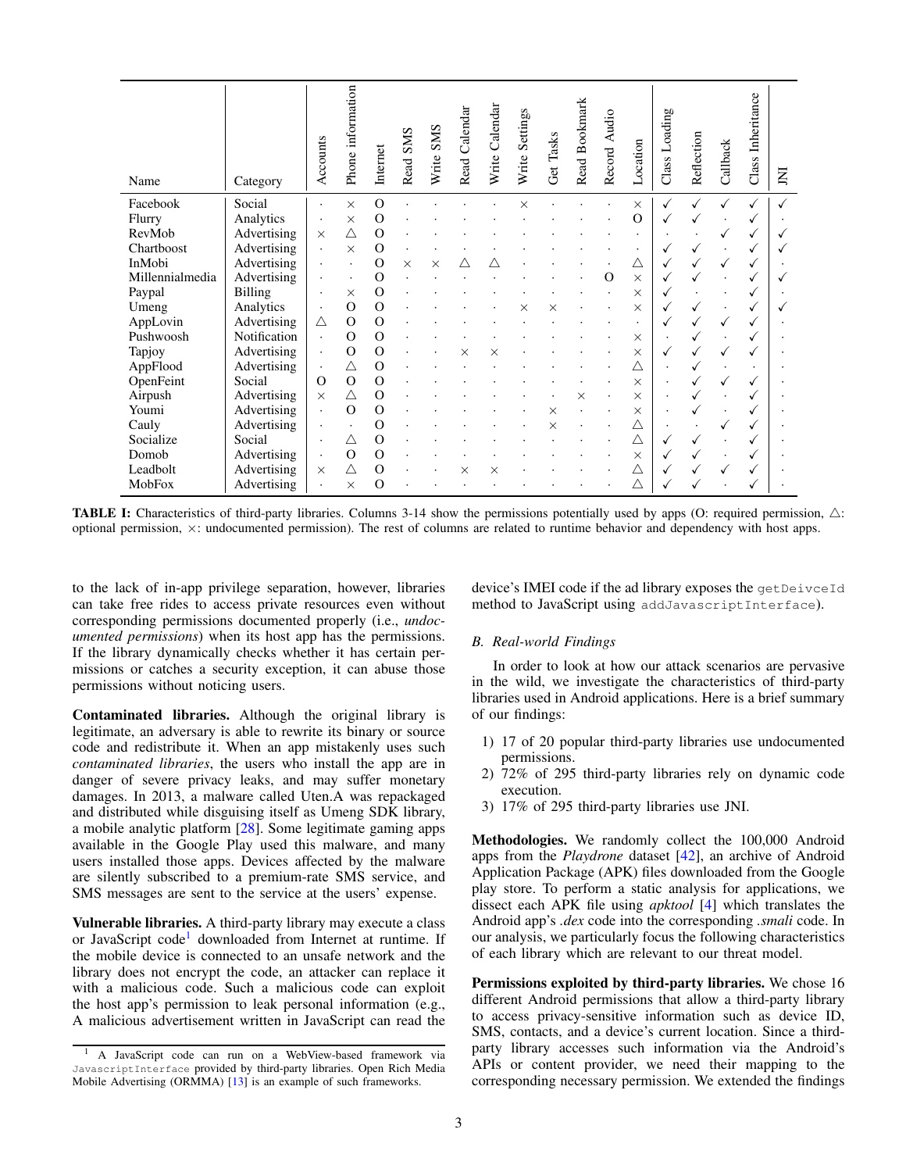<span id="page-2-1"></span>

| Name            | Category       | Accounts | information<br>Phone: | Internet       | <b>SMS</b><br>Read | <b>SMS</b><br>Write | Calendar<br>Read | Calendar<br>Write | Settings<br>Write | Tasks<br>Get | Read Bookmark | Record Audio | Location | Loading<br>Class | Reflection | Callback | Inheritance<br>Class | ğ |
|-----------------|----------------|----------|-----------------------|----------------|--------------------|---------------------|------------------|-------------------|-------------------|--------------|---------------|--------------|----------|------------------|------------|----------|----------------------|---|
| Facebook        | Social         |          | $\times$              | $\overline{O}$ |                    |                     |                  |                   | ×                 |              |               |              | $\times$ |                  |            |          | $\checkmark$         |   |
| Flurry          | Analytics      |          | $\times$              | $\overline{O}$ |                    |                     |                  |                   |                   |              |               |              | $\Omega$ |                  |            |          |                      |   |
| RevMob          | Advertising    | $\times$ | Λ                     | $\overline{O}$ |                    |                     |                  |                   |                   |              |               |              |          |                  |            |          |                      |   |
| Chartboost      | Advertising    |          | $\times$              | $\overline{O}$ |                    |                     |                  |                   |                   |              |               |              |          |                  |            |          |                      |   |
| InMobi          | Advertising    |          |                       | O              | $\times$           | $\times$            |                  |                   |                   |              |               |              |          |                  |            |          |                      |   |
| Millennialmedia | Advertising    |          |                       | $\overline{O}$ |                    |                     |                  |                   |                   |              |               |              | X        |                  |            |          |                      |   |
| Paypal          | <b>Billing</b> |          | ×                     | O              |                    |                     |                  |                   |                   |              |               |              | X        |                  |            |          |                      |   |
| Umeng           | Analytics      |          | $\Omega$              | $\overline{O}$ |                    |                     |                  |                   |                   |              |               |              | $\times$ |                  |            |          |                      |   |
| AppLovin        | Advertising    | Δ        | $\Omega$              | O              |                    |                     |                  |                   |                   |              |               |              |          |                  |            |          |                      |   |
| Pushwoosh       | Notification   |          | $\Omega$              | $\overline{O}$ |                    |                     |                  |                   |                   |              |               |              | $\times$ |                  |            |          |                      |   |
| Tapjoy          | Advertising    |          | $\Omega$              | $\overline{O}$ |                    |                     |                  |                   |                   |              |               |              | X        |                  |            |          |                      |   |
| AppFlood        | Advertising    | $\cdot$  | Δ                     | O              |                    |                     |                  |                   |                   |              |               |              |          |                  |            |          |                      |   |
| OpenFeint       | Social         | $\Omega$ | $\Omega$              | $\Omega$       |                    |                     |                  |                   |                   |              |               |              | $\times$ |                  |            |          |                      |   |
| Airpush         | Advertising    | $\times$ | Δ                     | $\overline{O}$ |                    |                     |                  |                   |                   |              |               |              | X        |                  |            |          |                      |   |
| Youmi           | Advertising    |          | $\Omega$              | $\overline{O}$ |                    |                     |                  |                   |                   |              |               |              | $\times$ |                  |            |          |                      |   |
| Cauly           | Advertising    |          |                       | $\overline{O}$ |                    |                     |                  |                   |                   |              |               |              |          |                  |            |          |                      |   |
| Socialize       | Social         |          | Λ                     | O              |                    |                     |                  |                   |                   |              |               |              |          |                  |            |          |                      |   |
| Domob           | Advertising    |          | $\Omega$              | $\overline{O}$ |                    |                     |                  |                   |                   |              |               |              | X        |                  |            |          |                      |   |
| Leadbolt        | Advertising    | $\times$ | Δ                     | $\overline{O}$ |                    |                     | ×                | ×                 |                   |              |               |              |          |                  |            |          |                      |   |
| MobFox          | Advertising    |          | $\times$              | O              |                    |                     |                  |                   |                   |              |               |              |          |                  |            |          |                      |   |

**TABLE I:** Characteristics of third-party libraries. Columns 3-14 show the permissions potentially used by apps (O: required permission,  $\triangle$ : optional permission, ×: undocumented permission). The rest of columns are related to runtime behavior and dependency with host apps.

to the lack of in-app privilege separation, however, libraries can take free rides to access private resources even without corresponding permissions documented properly (i.e., *undocumented permissions*) when its host app has the permissions. If the library dynamically checks whether it has certain permissions or catches a security exception, it can abuse those permissions without noticing users.

Contaminated libraries. Although the original library is legitimate, an adversary is able to rewrite its binary or source code and redistribute it. When an app mistakenly uses such *contaminated libraries*, the users who install the app are in danger of severe privacy leaks, and may suffer monetary damages. In 2013, a malware called Uten.A was repackaged and distributed while disguising itself as Umeng SDK library, a mobile analytic platform [\[28\]](#page-14-27). Some legitimate gaming apps available in the Google Play used this malware, and many users installed those apps. Devices affected by the malware are silently subscribed to a premium-rate SMS service, and SMS messages are sent to the service at the users' expense.

Vulnerable libraries. A third-party library may execute a class or JavaScript code<sup>[1](#page-2-2)</sup> downloaded from Internet at runtime. If the mobile device is connected to an unsafe network and the library does not encrypt the code, an attacker can replace it with a malicious code. Such a malicious code can exploit the host app's permission to leak personal information (e.g., A malicious advertisement written in JavaScript can read the device's IMEI code if the ad library exposes the getDeivceId method to JavaScript using addJavascriptInterface).

# <span id="page-2-0"></span>*B. Real-world Findings*

In order to look at how our attack scenarios are pervasive in the wild, we investigate the characteristics of third-party libraries used in Android applications. Here is a brief summary of our findings:

- 1) 17 of 20 popular third-party libraries use undocumented permissions.
- 2) 72% of 295 third-party libraries rely on dynamic code execution.
- 3) 17% of 295 third-party libraries use JNI.

Methodologies. We randomly collect the 100,000 Android apps from the *Playdrone* dataset [\[42\]](#page-14-29), an archive of Android Application Package (APK) files downloaded from the Google play store. To perform a static analysis for applications, we dissect each APK file using *apktool* [\[4\]](#page-14-30) which translates the Android app's *.dex* code into the corresponding *.smali* code. In our analysis, we particularly focus the following characteristics of each library which are relevant to our threat model.

Permissions exploited by third-party libraries. We chose 16 different Android permissions that allow a third-party library to access privacy-sensitive information such as device ID, SMS, contacts, and a device's current location. Since a thirdparty library accesses such information via the Android's APIs or content provider, we need their mapping to the corresponding necessary permission. We extended the findings

<span id="page-2-2"></span><sup>1</sup> A JavaScript code can run on a WebView-based framework via JavascriptInterface provided by third-party libraries. Open Rich Media Mobile Advertising (ORMMA) [\[13\]](#page-14-28) is an example of such frameworks.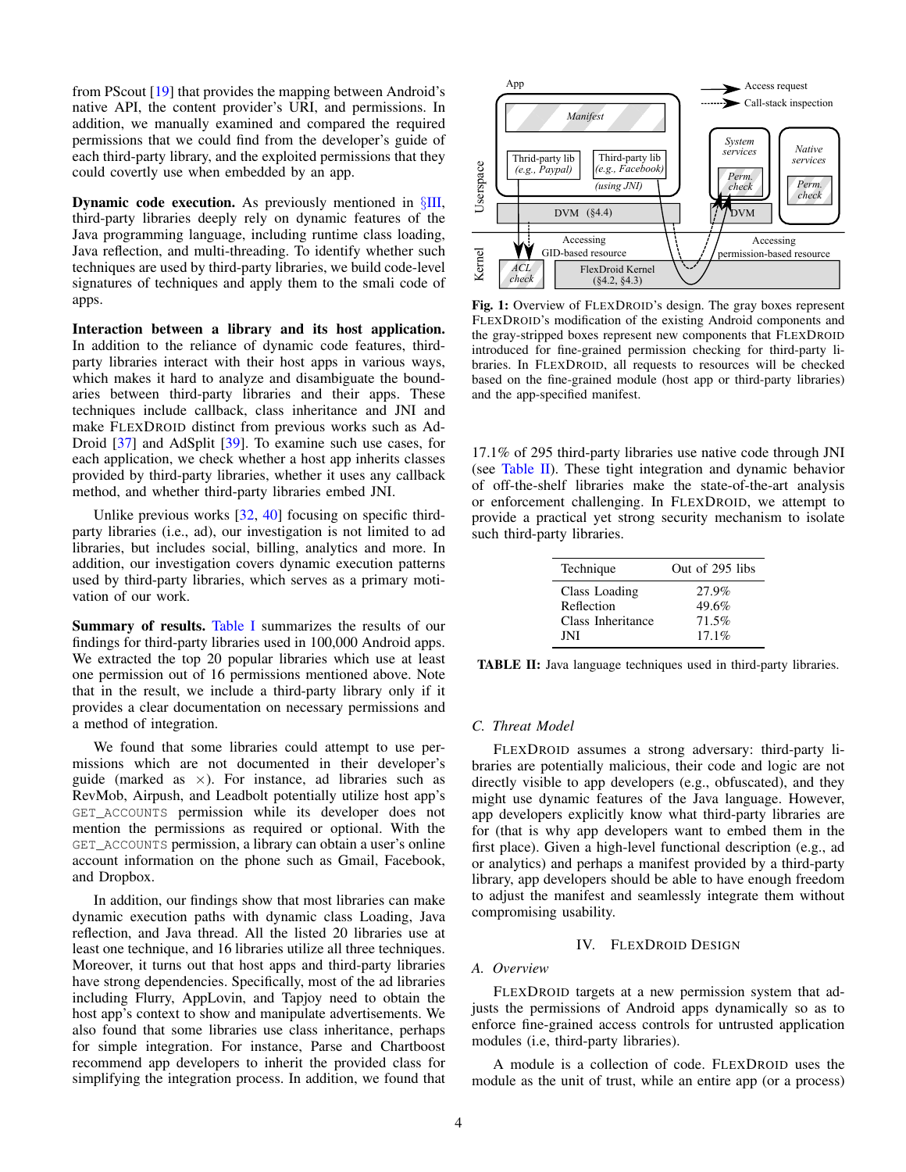from PScout [\[19\]](#page-14-31) that provides the mapping between Android's native API, the content provider's URI, and permissions. In addition, we manually examined and compared the required permissions that we could find from the developer's guide of each third-party library, and the exploited permissions that they could covertly use when embedded by an app.

**Dynamic code execution.** As previously mentioned in  $\S$ [III,](#page-1-0) third-party libraries deeply rely on dynamic features of the Java programming language, including runtime class loading, Java reflection, and multi-threading. To identify whether such techniques are used by third-party libraries, we build code-level signatures of techniques and apply them to the smali code of apps.

Interaction between a library and its host application. In addition to the reliance of dynamic code features, thirdparty libraries interact with their host apps in various ways, which makes it hard to analyze and disambiguate the boundaries between third-party libraries and their apps. These techniques include callback, class inheritance and JNI and make FLEXDROID distinct from previous works such as Ad-Droid [\[37\]](#page-14-9) and AdSplit [\[39\]](#page-14-10). To examine such use cases, for each application, we check whether a host app inherits classes provided by third-party libraries, whether it uses any callback method, and whether third-party libraries embed JNI.

Unlike previous works [\[32,](#page-14-0) [40\]](#page-14-8) focusing on specific thirdparty libraries (i.e., ad), our investigation is not limited to ad libraries, but includes social, billing, analytics and more. In addition, our investigation covers dynamic execution patterns used by third-party libraries, which serves as a primary motivation of our work.

Summary of results. [Table I](#page-2-1) summarizes the results of our findings for third-party libraries used in 100,000 Android apps. We extracted the top 20 popular libraries which use at least one permission out of 16 permissions mentioned above. Note that in the result, we include a third-party library only if it provides a clear documentation on necessary permissions and a method of integration.

We found that some libraries could attempt to use permissions which are not documented in their developer's guide (marked as  $\times$ ). For instance, ad libraries such as RevMob, Airpush, and Leadbolt potentially utilize host app's GET\_ACCOUNTS permission while its developer does not mention the permissions as required or optional. With the GET\_ACCOUNTS permission, a library can obtain a user's online account information on the phone such as Gmail, Facebook, and Dropbox.

In addition, our findings show that most libraries can make dynamic execution paths with dynamic class Loading, Java reflection, and Java thread. All the listed 20 libraries use at least one technique, and 16 libraries utilize all three techniques. Moreover, it turns out that host apps and third-party libraries have strong dependencies. Specifically, most of the ad libraries including Flurry, AppLovin, and Tapjoy need to obtain the host app's context to show and manipulate advertisements. We also found that some libraries use class inheritance, perhaps for simple integration. For instance, Parse and Chartboost recommend app developers to inherit the provided class for simplifying the integration process. In addition, we found that

<span id="page-3-1"></span>

Fig. 1: Overview of FLEXDROID's design. The gray boxes represent FLEXDROID's modification of the existing Android components and the gray-stripped boxes represent new components that FLEXDROID introduced for fine-grained permission checking for third-party libraries. In FLEXDROID, all requests to resources will be checked based on the fine-grained module (host app or third-party libraries) and the app-specified manifest.

17.1% of 295 third-party libraries use native code through JNI (see [Table II\)](#page-3-0). These tight integration and dynamic behavior of off-the-shelf libraries make the state-of-the-art analysis or enforcement challenging. In FLEXDROID, we attempt to provide a practical yet strong security mechanism to isolate such third-party libraries.

<span id="page-3-0"></span>

| Technique                                               | Out of 295 libs                     |
|---------------------------------------------------------|-------------------------------------|
| Class Loading<br>Reflection<br>Class Inheritance<br>JNI | 27.9%<br>49.6%<br>71.5%<br>$17.1\%$ |
|                                                         |                                     |

TABLE II: Java language techniques used in third-party libraries.

#### *C. Threat Model*

FLEXDROID assumes a strong adversary: third-party libraries are potentially malicious, their code and logic are not directly visible to app developers (e.g., obfuscated), and they might use dynamic features of the Java language. However, app developers explicitly know what third-party libraries are for (that is why app developers want to embed them in the first place). Given a high-level functional description (e.g., ad or analytics) and perhaps a manifest provided by a third-party library, app developers should be able to have enough freedom to adjust the manifest and seamlessly integrate them without compromising usability.

# IV. FLEXDROID DESIGN

# *A. Overview*

FLEXDROID targets at a new permission system that adjusts the permissions of Android apps dynamically so as to enforce fine-grained access controls for untrusted application modules (i.e, third-party libraries).

A module is a collection of code. FLEXDROID uses the module as the unit of trust, while an entire app (or a process)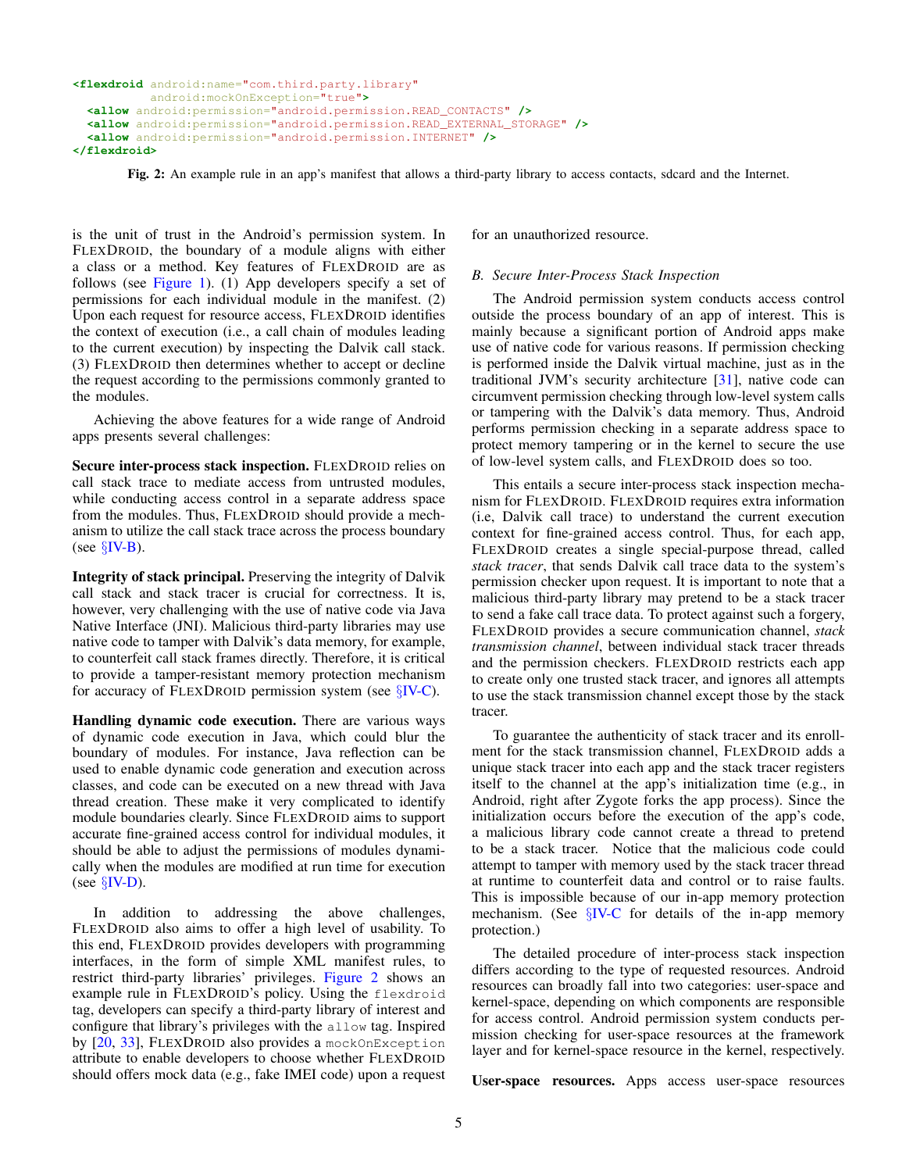```
<flexdroid android:name="com.third.party.library"
          android:mockOnException="true">
  <allow android:permission="android.permission.READ_CONTACTS" />
  <allow android:permission="android.permission.READ_EXTERNAL_STORAGE" />
  <allow android:permission="android.permission.INTERNET" />
</flexdroid>
```
Fig. 2: An example rule in an app's manifest that allows a third-party library to access contacts, sdcard and the Internet.

is the unit of trust in the Android's permission system. In FLEXDROID, the boundary of a module aligns with either a class or a method. Key features of FLEXDROID are as follows (see [Figure 1\)](#page-3-1). (1) App developers specify a set of permissions for each individual module in the manifest. (2) Upon each request for resource access, FLEXDROID identifies the context of execution (i.e., a call chain of modules leading to the current execution) by inspecting the Dalvik call stack. (3) FLEXDROID then determines whether to accept or decline the request according to the permissions commonly granted to the modules.

Achieving the above features for a wide range of Android apps presents several challenges:

Secure inter-process stack inspection. FLEXDROID relies on call stack trace to mediate access from untrusted modules, while conducting access control in a separate address space from the modules. Thus, FLEXDROID should provide a mechanism to utilize the call stack trace across the process boundary (see  $\S$ [IV-B\)](#page-4-0).

Integrity of stack principal. Preserving the integrity of Dalvik call stack and stack tracer is crucial for correctness. It is, however, very challenging with the use of native code via Java Native Interface (JNI). Malicious third-party libraries may use native code to tamper with Dalvik's data memory, for example, to counterfeit call stack frames directly. Therefore, it is critical to provide a tamper-resistant memory protection mechanism for accuracy of FLEXDROID permission system (see  $\S$ [IV-C\)](#page-5-0).

Handling dynamic code execution. There are various ways of dynamic code execution in Java, which could blur the boundary of modules. For instance, Java reflection can be used to enable dynamic code generation and execution across classes, and code can be executed on a new thread with Java thread creation. These make it very complicated to identify module boundaries clearly. Since FLEXDROID aims to support accurate fine-grained access control for individual modules, it should be able to adjust the permissions of modules dynamically when the modules are modified at run time for execution (see  $\S$ [IV-D\)](#page-6-0).

In addition to addressing the above challenges, FLEXDROID also aims to offer a high level of usability. To this end, FLEXDROID provides developers with programming interfaces, in the form of simple XML manifest rules, to restrict third-party libraries' privileges. [Figure 2](#page-4-1) shows an example rule in FLEXDROID's policy. Using the flexdroid tag, developers can specify a third-party library of interest and configure that library's privileges with the allow tag. Inspired by [\[20,](#page-14-32) [33\]](#page-14-33), FLEXDROID also provides a mockOnException attribute to enable developers to choose whether FLEXDROID should offers mock data (e.g., fake IMEI code) upon a request for an unauthorized resource.

# <span id="page-4-0"></span>*B. Secure Inter-Process Stack Inspection*

The Android permission system conducts access control outside the process boundary of an app of interest. This is mainly because a significant portion of Android apps make use of native code for various reasons. If permission checking is performed inside the Dalvik virtual machine, just as in the traditional JVM's security architecture [\[31\]](#page-14-34), native code can circumvent permission checking through low-level system calls or tampering with the Dalvik's data memory. Thus, Android performs permission checking in a separate address space to protect memory tampering or in the kernel to secure the use of low-level system calls, and FLEXDROID does so too.

This entails a secure inter-process stack inspection mechanism for FLEXDROID. FLEXDROID requires extra information (i.e, Dalvik call trace) to understand the current execution context for fine-grained access control. Thus, for each app, FLEXDROID creates a single special-purpose thread, called *stack tracer*, that sends Dalvik call trace data to the system's permission checker upon request. It is important to note that a malicious third-party library may pretend to be a stack tracer to send a fake call trace data. To protect against such a forgery, FLEXDROID provides a secure communication channel, *stack transmission channel*, between individual stack tracer threads and the permission checkers. FLEXDROID restricts each app to create only one trusted stack tracer, and ignores all attempts to use the stack transmission channel except those by the stack tracer.

To guarantee the authenticity of stack tracer and its enrollment for the stack transmission channel, FLEXDROID adds a unique stack tracer into each app and the stack tracer registers itself to the channel at the app's initialization time (e.g., in Android, right after Zygote forks the app process). Since the initialization occurs before the execution of the app's code, a malicious library code cannot create a thread to pretend to be a stack tracer. Notice that the malicious code could attempt to tamper with memory used by the stack tracer thread at runtime to counterfeit data and control or to raise faults. This is impossible because of our in-app memory protection mechanism. (See  $\S$ [IV-C](#page-5-0) for details of the in-app memory protection.)

The detailed procedure of inter-process stack inspection differs according to the type of requested resources. Android resources can broadly fall into two categories: user-space and kernel-space, depending on which components are responsible for access control. Android permission system conducts permission checking for user-space resources at the framework layer and for kernel-space resource in the kernel, respectively.

User-space resources. Apps access user-space resources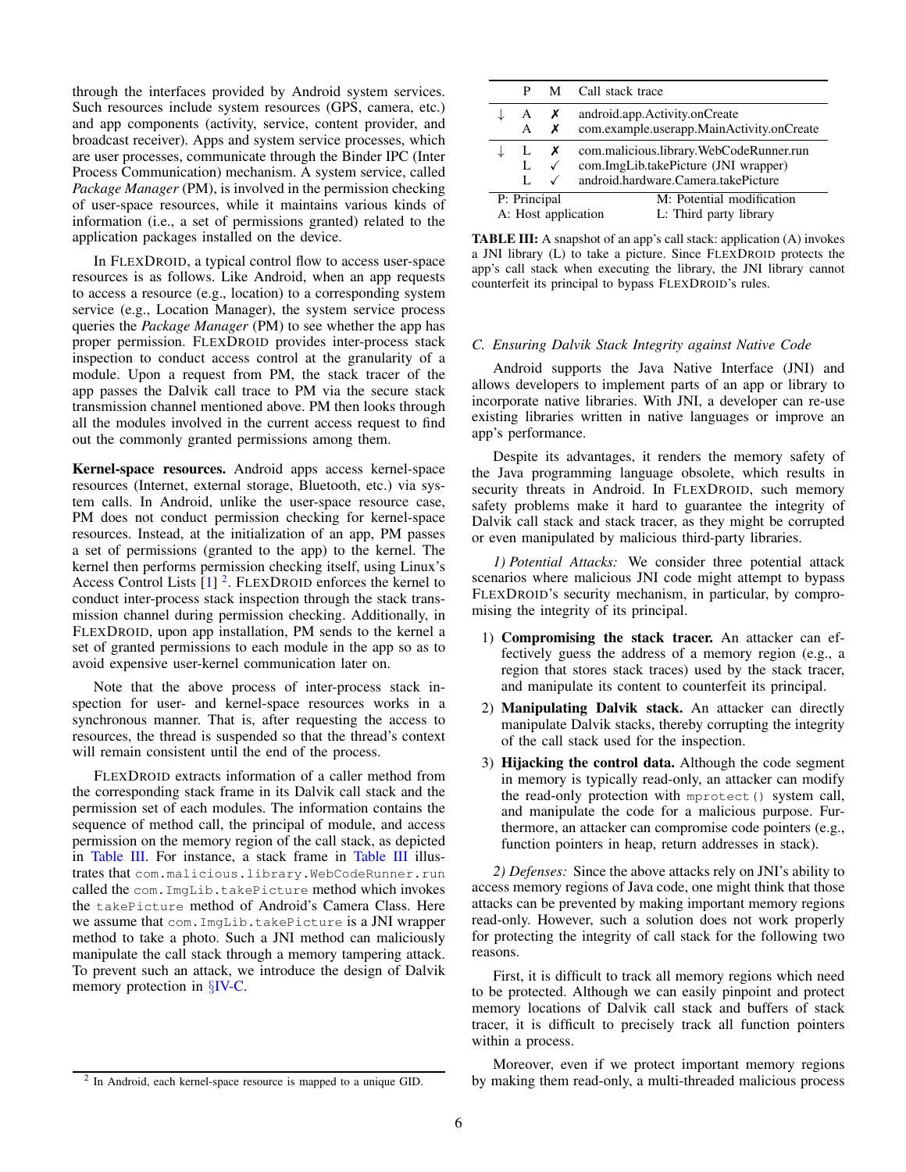through the interfaces provided by Android system services. Such resources include system resources (GPS, camera, etc.) and app components (activity, service, content provider, and broadcast receiver). Apps and system service processes, which are user processes, communicate through the Binder IPC (Inter Process Communication) mechanism. A system service, called *Package Manager* (PM), is involved in the permission checking of user-space resources, while it maintains various kinds of information (i.e., a set of permissions granted) related to the application packages installed on the device.

In FLEXDROID, a typical control flow to access user-space resources is as follows. Like Android, when an app requests to access a resource (e.g., location) to a corresponding system service (e.g., Location Manager), the system service process queries the *Package Manager* (PM) to see whether the app has proper permission. FLEXDROID provides inter-process stack inspection to conduct access control at the granularity of a module. Upon a request from PM, the stack tracer of the app passes the Dalvik call trace to PM via the secure stack transmission channel mentioned above. PM then looks through all the modules involved in the current access request to find out the commonly granted permissions among them.

Kernel-space resources. Android apps access kernel-space resources (Internet, external storage, Bluetooth, etc.) via system calls. In Android, unlike the user-space resource case, PM does not conduct permission checking for kernel-space resources. Instead, at the initialization of an app, PM passes a set of permissions (granted to the app) to the kernel. The kernel then performs permission checking itself, using Linux's Access Control Lists  $\left[1\right]$ <sup>[2](#page-5-1)</sup>. FLEXDROID enforces the kernel to conduct inter-process stack inspection through the stack transmission channel during permission checking. Additionally, in FLEXDROID, upon app installation, PM sends to the kernel a set of granted permissions to each module in the app so as to avoid expensive user-kernel communication later on.

Note that the above process of inter-process stack inspection for user- and kernel-space resources works in a synchronous manner. That is, after requesting the access to resources, the thread is suspended so that the thread's context will remain consistent until the end of the process.

FLEXDROID extracts information of a caller method from the corresponding stack frame in its Dalvik call stack and the permission set of each modules. The information contains the sequence of method call, the principal of module, and access permission on the memory region of the call stack, as depicted in [Table III.](#page-5-2) For instance, a stack frame in [Table III](#page-5-2) illustrates that com.malicious.library.WebCodeRunner.run called the com.ImgLib.takePicture method which invokes the takePicture method of Android's Camera Class. Here we assume that com.ImgLib.takePicture is a JNI wrapper method to take a photo. Such a JNI method can maliciously manipulate the call stack through a memory tampering attack. To prevent such an attack, we introduce the design of Dalvik memory protection in §[IV-C.](#page-5-0)

<span id="page-5-1"></span>

| <sup>2</sup> In Android, each kernel-space resource is mapped to a unique GID. |  |
|--------------------------------------------------------------------------------|--|
|--------------------------------------------------------------------------------|--|

<span id="page-5-2"></span>

|                                     | P      |                   | M Call stack trace                                                                                                     |
|-------------------------------------|--------|-------------------|------------------------------------------------------------------------------------------------------------------------|
|                                     | A<br>A | x<br>х            | android.app.Activity.onCreate<br>com.example.userapp.MainActivity.onCreate                                             |
|                                     | L      | x<br>$\checkmark$ | com.malicious.library.WebCodeRunner.run<br>com.ImgLib.takePicture (JNI wrapper)<br>android.hardware.Camera.takePicture |
| P: Principal<br>A: Host application |        |                   | M: Potential modification<br>L: Third party library                                                                    |

TABLE III: A snapshot of an app's call stack: application (A) invokes a JNI library (L) to take a picture. Since FLEXDROID protects the app's call stack when executing the library, the JNI library cannot counterfeit its principal to bypass FLEXDROID's rules.

# <span id="page-5-0"></span>*C. Ensuring Dalvik Stack Integrity against Native Code*

Android supports the Java Native Interface (JNI) and allows developers to implement parts of an app or library to incorporate native libraries. With JNI, a developer can re-use existing libraries written in native languages or improve an app's performance.

Despite its advantages, it renders the memory safety of the Java programming language obsolete, which results in security threats in Android. In FLEXDROID, such memory safety problems make it hard to guarantee the integrity of Dalvik call stack and stack tracer, as they might be corrupted or even manipulated by malicious third-party libraries.

*1) Potential Attacks:* We consider three potential attack scenarios where malicious JNI code might attempt to bypass FLEXDROID's security mechanism, in particular, by compromising the integrity of its principal.

- 1) Compromising the stack tracer. An attacker can effectively guess the address of a memory region (e.g., a region that stores stack traces) used by the stack tracer, and manipulate its content to counterfeit its principal.
- 2) Manipulating Dalvik stack. An attacker can directly manipulate Dalvik stacks, thereby corrupting the integrity of the call stack used for the inspection.
- 3) Hijacking the control data. Although the code segment in memory is typically read-only, an attacker can modify the read-only protection with mprotect() system call, and manipulate the code for a malicious purpose. Furthermore, an attacker can compromise code pointers (e.g., function pointers in heap, return addresses in stack).

*2) Defenses:* Since the above attacks rely on JNI's ability to access memory regions of Java code, one might think that those attacks can be prevented by making important memory regions read-only. However, such a solution does not work properly for protecting the integrity of call stack for the following two reasons.

First, it is difficult to track all memory regions which need to be protected. Although we can easily pinpoint and protect memory locations of Dalvik call stack and buffers of stack tracer, it is difficult to precisely track all function pointers within a process.

Moreover, even if we protect important memory regions by making them read-only, a multi-threaded malicious process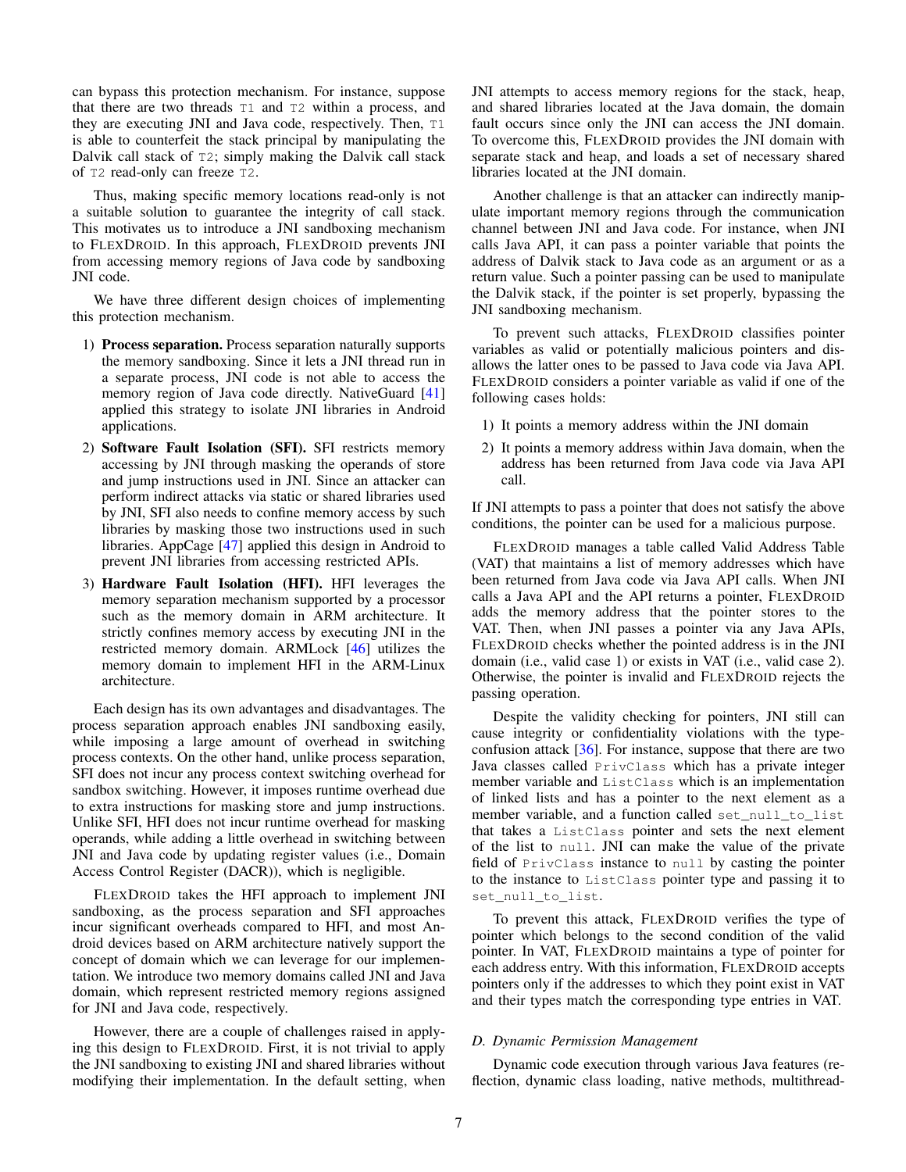can bypass this protection mechanism. For instance, suppose that there are two threads T1 and T2 within a process, and they are executing JNI and Java code, respectively. Then, T1 is able to counterfeit the stack principal by manipulating the Dalvik call stack of T2; simply making the Dalvik call stack of T2 read-only can freeze T2.

Thus, making specific memory locations read-only is not a suitable solution to guarantee the integrity of call stack. This motivates us to introduce a JNI sandboxing mechanism to FLEXDROID. In this approach, FLEXDROID prevents JNI from accessing memory regions of Java code by sandboxing JNI code.

We have three different design choices of implementing this protection mechanism.

- 1) Process separation. Process separation naturally supports the memory sandboxing. Since it lets a JNI thread run in a separate process, JNI code is not able to access the memory region of Java code directly. NativeGuard [\[41\]](#page-14-16) applied this strategy to isolate JNI libraries in Android applications.
- 2) Software Fault Isolation (SFI). SFI restricts memory accessing by JNI through masking the operands of store and jump instructions used in JNI. Since an attacker can perform indirect attacks via static or shared libraries used by JNI, SFI also needs to confine memory access by such libraries by masking those two instructions used in such libraries. AppCage [\[47\]](#page-14-36) applied this design in Android to prevent JNI libraries from accessing restricted APIs.
- 3) Hardware Fault Isolation (HFI). HFI leverages the memory separation mechanism supported by a processor such as the memory domain in ARM architecture. It strictly confines memory access by executing JNI in the restricted memory domain. ARMLock [\[46\]](#page-14-37) utilizes the memory domain to implement HFI in the ARM-Linux architecture.

Each design has its own advantages and disadvantages. The process separation approach enables JNI sandboxing easily, while imposing a large amount of overhead in switching process contexts. On the other hand, unlike process separation, SFI does not incur any process context switching overhead for sandbox switching. However, it imposes runtime overhead due to extra instructions for masking store and jump instructions. Unlike SFI, HFI does not incur runtime overhead for masking operands, while adding a little overhead in switching between JNI and Java code by updating register values (i.e., Domain Access Control Register (DACR)), which is negligible.

FLEXDROID takes the HFI approach to implement JNI sandboxing, as the process separation and SFI approaches incur significant overheads compared to HFI, and most Android devices based on ARM architecture natively support the concept of domain which we can leverage for our implementation. We introduce two memory domains called JNI and Java domain, which represent restricted memory regions assigned for JNI and Java code, respectively.

However, there are a couple of challenges raised in applying this design to FLEXDROID. First, it is not trivial to apply the JNI sandboxing to existing JNI and shared libraries without modifying their implementation. In the default setting, when JNI attempts to access memory regions for the stack, heap, and shared libraries located at the Java domain, the domain fault occurs since only the JNI can access the JNI domain. To overcome this, FLEXDROID provides the JNI domain with separate stack and heap, and loads a set of necessary shared libraries located at the JNI domain.

Another challenge is that an attacker can indirectly manipulate important memory regions through the communication channel between JNI and Java code. For instance, when JNI calls Java API, it can pass a pointer variable that points the address of Dalvik stack to Java code as an argument or as a return value. Such a pointer passing can be used to manipulate the Dalvik stack, if the pointer is set properly, bypassing the JNI sandboxing mechanism.

To prevent such attacks, FLEXDROID classifies pointer variables as valid or potentially malicious pointers and disallows the latter ones to be passed to Java code via Java API. FLEXDROID considers a pointer variable as valid if one of the following cases holds:

- 1) It points a memory address within the JNI domain
- 2) It points a memory address within Java domain, when the address has been returned from Java code via Java API call.

If JNI attempts to pass a pointer that does not satisfy the above conditions, the pointer can be used for a malicious purpose.

FLEXDROID manages a table called Valid Address Table (VAT) that maintains a list of memory addresses which have been returned from Java code via Java API calls. When JNI calls a Java API and the API returns a pointer, FLEXDROID adds the memory address that the pointer stores to the VAT. Then, when JNI passes a pointer via any Java APIs, FLEXDROID checks whether the pointed address is in the JNI domain (i.e., valid case 1) or exists in VAT (i.e., valid case 2). Otherwise, the pointer is invalid and FLEXDROID rejects the passing operation.

Despite the validity checking for pointers, JNI still can cause integrity or confidentiality violations with the typeconfusion attack [\[36\]](#page-14-38). For instance, suppose that there are two Java classes called PrivClass which has a private integer member variable and ListClass which is an implementation of linked lists and has a pointer to the next element as a member variable, and a function called set\_null\_to\_list that takes a ListClass pointer and sets the next element of the list to null. JNI can make the value of the private field of PrivClass instance to null by casting the pointer to the instance to ListClass pointer type and passing it to set\_null\_to\_list.

To prevent this attack, FLEXDROID verifies the type of pointer which belongs to the second condition of the valid pointer. In VAT, FLEXDROID maintains a type of pointer for each address entry. With this information, FLEXDROID accepts pointers only if the addresses to which they point exist in VAT and their types match the corresponding type entries in VAT.

# <span id="page-6-0"></span>*D. Dynamic Permission Management*

Dynamic code execution through various Java features (reflection, dynamic class loading, native methods, multithread-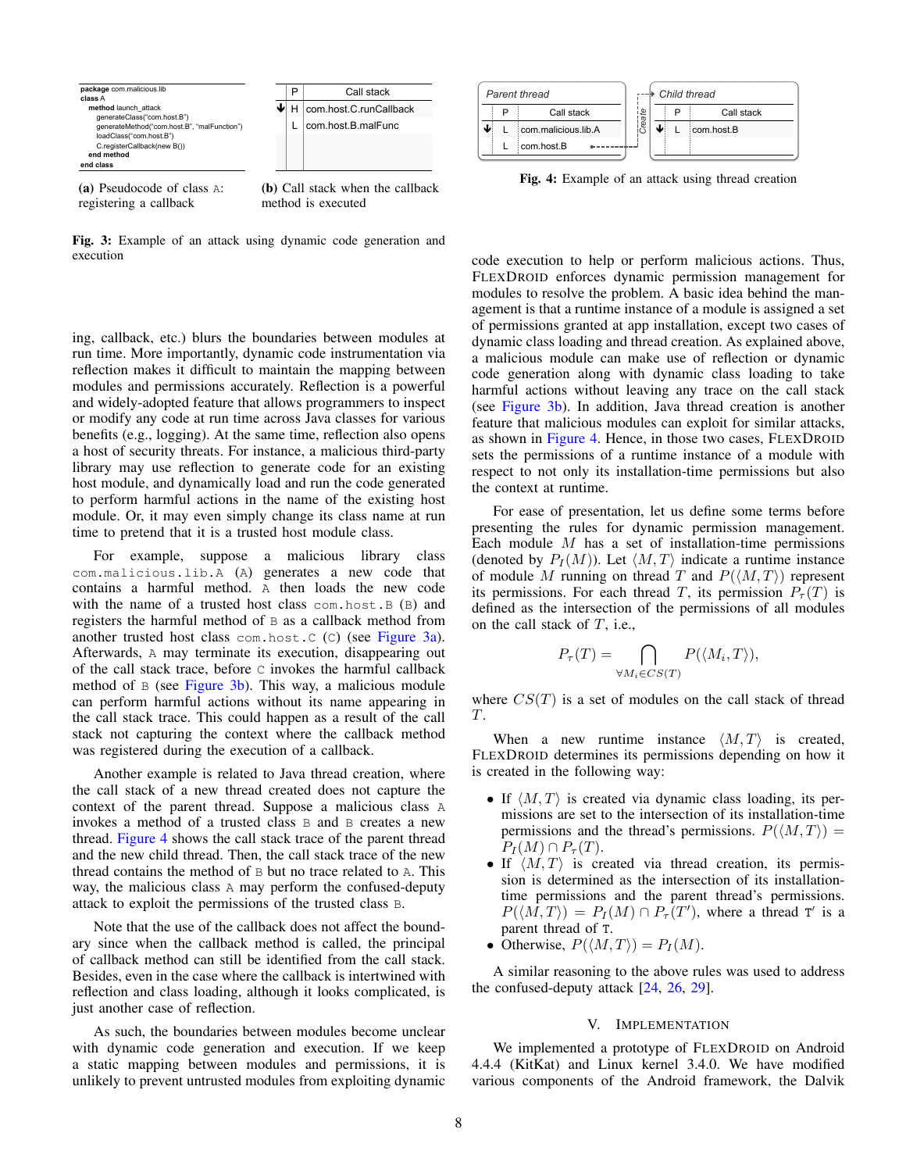<span id="page-7-0"></span>

Fig. 3: Example of an attack using dynamic code generation and execution

ing, callback, etc.) blurs the boundaries between modules at run time. More importantly, dynamic code instrumentation via reflection makes it difficult to maintain the mapping between modules and permissions accurately. Reflection is a powerful and widely-adopted feature that allows programmers to inspect or modify any code at run time across Java classes for various benefits (e.g., logging). At the same time, reflection also opens a host of security threats. For instance, a malicious third-party library may use reflection to generate code for an existing host module, and dynamically load and run the code generated to perform harmful actions in the name of the existing host module. Or, it may even simply change its class name at run time to pretend that it is a trusted host module class.

For example, suppose a malicious library class com.malicious.lib.A (A) generates a new code that contains a harmful method. A then loads the new code with the name of a trusted host class com.host.B (B) and registers the harmful method of B as a callback method from another trusted host class com.host.C (C) (see [Figure 3a\)](#page-7-0). Afterwards, A may terminate its execution, disappearing out of the call stack trace, before C invokes the harmful callback method of B (see [Figure 3b\)](#page-7-0). This way, a malicious module can perform harmful actions without its name appearing in the call stack trace. This could happen as a result of the call stack not capturing the context where the callback method was registered during the execution of a callback.

Another example is related to Java thread creation, where the call stack of a new thread created does not capture the context of the parent thread. Suppose a malicious class A invokes a method of a trusted class B and B creates a new thread. [Figure 4](#page-7-1) shows the call stack trace of the parent thread and the new child thread. Then, the call stack trace of the new thread contains the method of B but no trace related to A. This way, the malicious class A may perform the confused-deputy attack to exploit the permissions of the trusted class B.

Note that the use of the callback does not affect the boundary since when the callback method is called, the principal of callback method can still be identified from the call stack. Besides, even in the case where the callback is intertwined with reflection and class loading, although it looks complicated, is just another case of reflection.

As such, the boundaries between modules become unclear with dynamic code generation and execution. If we keep a static mapping between modules and permissions, it is unlikely to prevent untrusted modules from exploiting dynamic

<span id="page-7-1"></span>

Fig. 4: Example of an attack using thread creation

code execution to help or perform malicious actions. Thus, FLEXDROID enforces dynamic permission management for modules to resolve the problem. A basic idea behind the management is that a runtime instance of a module is assigned a set of permissions granted at app installation, except two cases of dynamic class loading and thread creation. As explained above, a malicious module can make use of reflection or dynamic code generation along with dynamic class loading to take harmful actions without leaving any trace on the call stack (see [Figure 3b\)](#page-7-0). In addition, Java thread creation is another feature that malicious modules can exploit for similar attacks, as shown in [Figure 4.](#page-7-1) Hence, in those two cases, FLEXDROID sets the permissions of a runtime instance of a module with respect to not only its installation-time permissions but also the context at runtime.

For ease of presentation, let us define some terms before presenting the rules for dynamic permission management. Each module  $M$  has a set of installation-time permissions (denoted by  $P_I(M)$ ). Let  $\langle M, T \rangle$  indicate a runtime instance of module M running on thread T and  $P(\langle M, T \rangle)$  represent its permissions. For each thread T, its permission  $P<sub>\tau</sub>(T)$  is defined as the intersection of the permissions of all modules on the call stack of  $T$ , i.e.,

$$
P_{\tau}(T) = \bigcap_{\forall M_i \in CS(T)} P(\langle M_i, T \rangle),
$$

where  $CS(T)$  is a set of modules on the call stack of thread  $T_{\rm L}$ 

When a new runtime instance  $\langle M, T \rangle$  is created, FLEXDROID determines its permissions depending on how it is created in the following way:

- If  $\langle M, T \rangle$  is created via dynamic class loading, its permissions are set to the intersection of its installation-time permissions and the thread's permissions.  $P(\langle M, T \rangle) =$  $P_I(M) \cap P_{\tau}(T)$ .
- If  $\langle M, T \rangle$  is created via thread creation, its permission is determined as the intersection of its installationtime permissions and the parent thread's permissions.  $P(\langle \overline{M}, T \rangle) = P_I(M) \cap P_{\tau}(T')$ , where a thread T' is a parent thread of T.
- Otherwise,  $P(\langle M, T \rangle) = P_I(M)$ .

A similar reasoning to the above rules was used to address the confused-deputy attack [\[24,](#page-14-20) [26,](#page-14-21) [29\]](#page-14-22).

## V. IMPLEMENTATION

We implemented a prototype of FLEXDROID on Android 4.4.4 (KitKat) and Linux kernel 3.4.0. We have modified various components of the Android framework, the Dalvik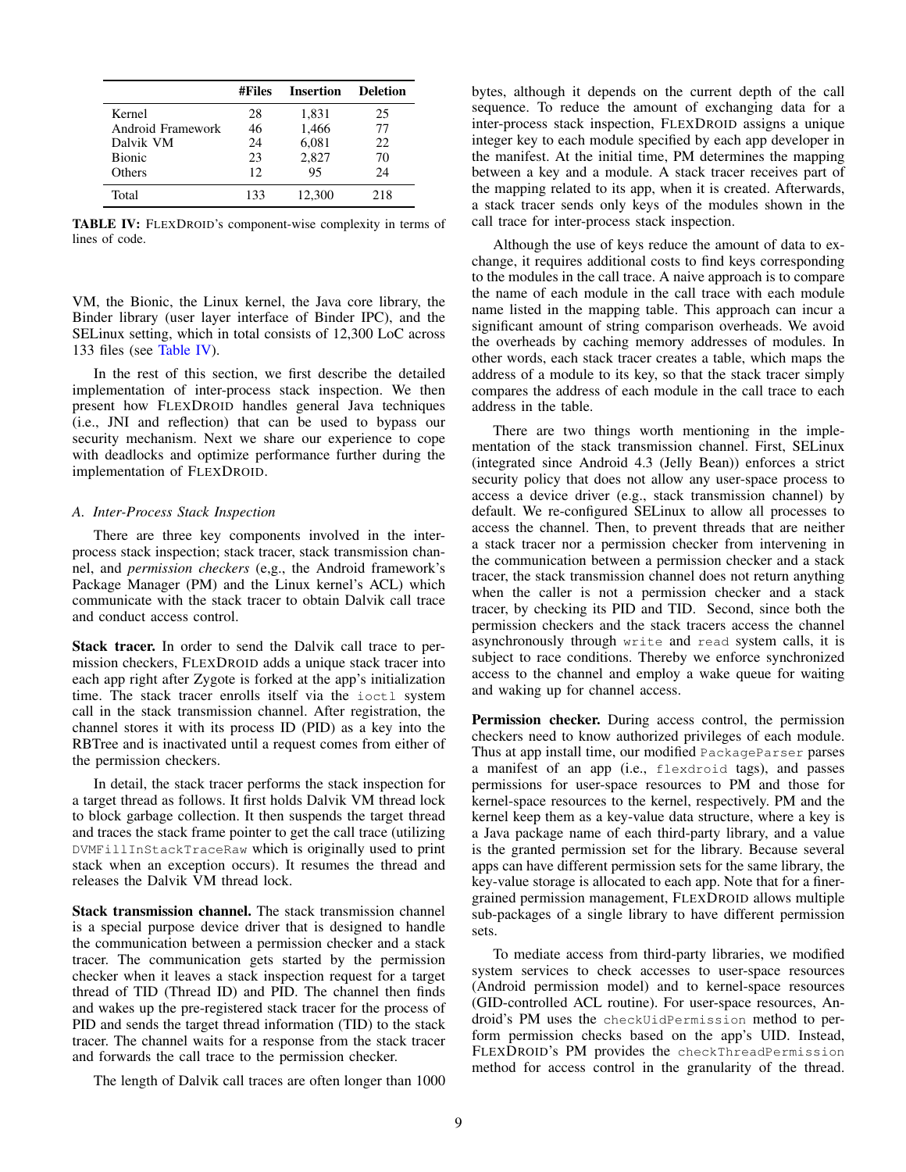<span id="page-8-0"></span>

|                   | #Files | <b>Insertion</b> | <b>Deletion</b> |
|-------------------|--------|------------------|-----------------|
| Kernel            | 28     | 1,831            | 25              |
| Android Framework | 46     | 1,466            | 77              |
| Dalvik VM         | 24     | 6,081            | 22              |
| <b>Bionic</b>     | 23     | 2,827            | 70              |
| Others            | 12     | 95               | 24              |
| Total             | 133    | 12.300           | 218             |

TABLE IV: FLEXDROID's component-wise complexity in terms of lines of code.

VM, the Bionic, the Linux kernel, the Java core library, the Binder library (user layer interface of Binder IPC), and the SELinux setting, which in total consists of 12,300 LoC across 133 files (see [Table IV\)](#page-8-0).

In the rest of this section, we first describe the detailed implementation of inter-process stack inspection. We then present how FLEXDROID handles general Java techniques (i.e., JNI and reflection) that can be used to bypass our security mechanism. Next we share our experience to cope with deadlocks and optimize performance further during the implementation of FLEXDROID.

## *A. Inter-Process Stack Inspection*

There are three key components involved in the interprocess stack inspection; stack tracer, stack transmission channel, and *permission checkers* (e,g., the Android framework's Package Manager (PM) and the Linux kernel's ACL) which communicate with the stack tracer to obtain Dalvik call trace and conduct access control.

Stack tracer. In order to send the Dalvik call trace to permission checkers, FLEXDROID adds a unique stack tracer into each app right after Zygote is forked at the app's initialization time. The stack tracer enrolls itself via the ioctl system call in the stack transmission channel. After registration, the channel stores it with its process ID (PID) as a key into the RBTree and is inactivated until a request comes from either of the permission checkers.

In detail, the stack tracer performs the stack inspection for a target thread as follows. It first holds Dalvik VM thread lock to block garbage collection. It then suspends the target thread and traces the stack frame pointer to get the call trace (utilizing DVMFillInStackTraceRaw which is originally used to print stack when an exception occurs). It resumes the thread and releases the Dalvik VM thread lock.

Stack transmission channel. The stack transmission channel is a special purpose device driver that is designed to handle the communication between a permission checker and a stack tracer. The communication gets started by the permission checker when it leaves a stack inspection request for a target thread of TID (Thread ID) and PID. The channel then finds and wakes up the pre-registered stack tracer for the process of PID and sends the target thread information (TID) to the stack tracer. The channel waits for a response from the stack tracer and forwards the call trace to the permission checker.

The length of Dalvik call traces are often longer than 1000

bytes, although it depends on the current depth of the call sequence. To reduce the amount of exchanging data for a inter-process stack inspection, FLEXDROID assigns a unique integer key to each module specified by each app developer in the manifest. At the initial time, PM determines the mapping between a key and a module. A stack tracer receives part of the mapping related to its app, when it is created. Afterwards, a stack tracer sends only keys of the modules shown in the call trace for inter-process stack inspection.

Although the use of keys reduce the amount of data to exchange, it requires additional costs to find keys corresponding to the modules in the call trace. A naive approach is to compare the name of each module in the call trace with each module name listed in the mapping table. This approach can incur a significant amount of string comparison overheads. We avoid the overheads by caching memory addresses of modules. In other words, each stack tracer creates a table, which maps the address of a module to its key, so that the stack tracer simply compares the address of each module in the call trace to each address in the table.

There are two things worth mentioning in the implementation of the stack transmission channel. First, SELinux (integrated since Android 4.3 (Jelly Bean)) enforces a strict security policy that does not allow any user-space process to access a device driver (e.g., stack transmission channel) by default. We re-configured SELinux to allow all processes to access the channel. Then, to prevent threads that are neither a stack tracer nor a permission checker from intervening in the communication between a permission checker and a stack tracer, the stack transmission channel does not return anything when the caller is not a permission checker and a stack tracer, by checking its PID and TID. Second, since both the permission checkers and the stack tracers access the channel asynchronously through write and read system calls, it is subject to race conditions. Thereby we enforce synchronized access to the channel and employ a wake queue for waiting and waking up for channel access.

Permission checker. During access control, the permission checkers need to know authorized privileges of each module. Thus at app install time, our modified PackageParser parses a manifest of an app (i.e., flexdroid tags), and passes permissions for user-space resources to PM and those for kernel-space resources to the kernel, respectively. PM and the kernel keep them as a key-value data structure, where a key is a Java package name of each third-party library, and a value is the granted permission set for the library. Because several apps can have different permission sets for the same library, the key-value storage is allocated to each app. Note that for a finergrained permission management, FLEXDROID allows multiple sub-packages of a single library to have different permission sets.

To mediate access from third-party libraries, we modified system services to check accesses to user-space resources (Android permission model) and to kernel-space resources (GID-controlled ACL routine). For user-space resources, Android's PM uses the checkUidPermission method to perform permission checks based on the app's UID. Instead, FLEXDROID's PM provides the checkThreadPermission method for access control in the granularity of the thread.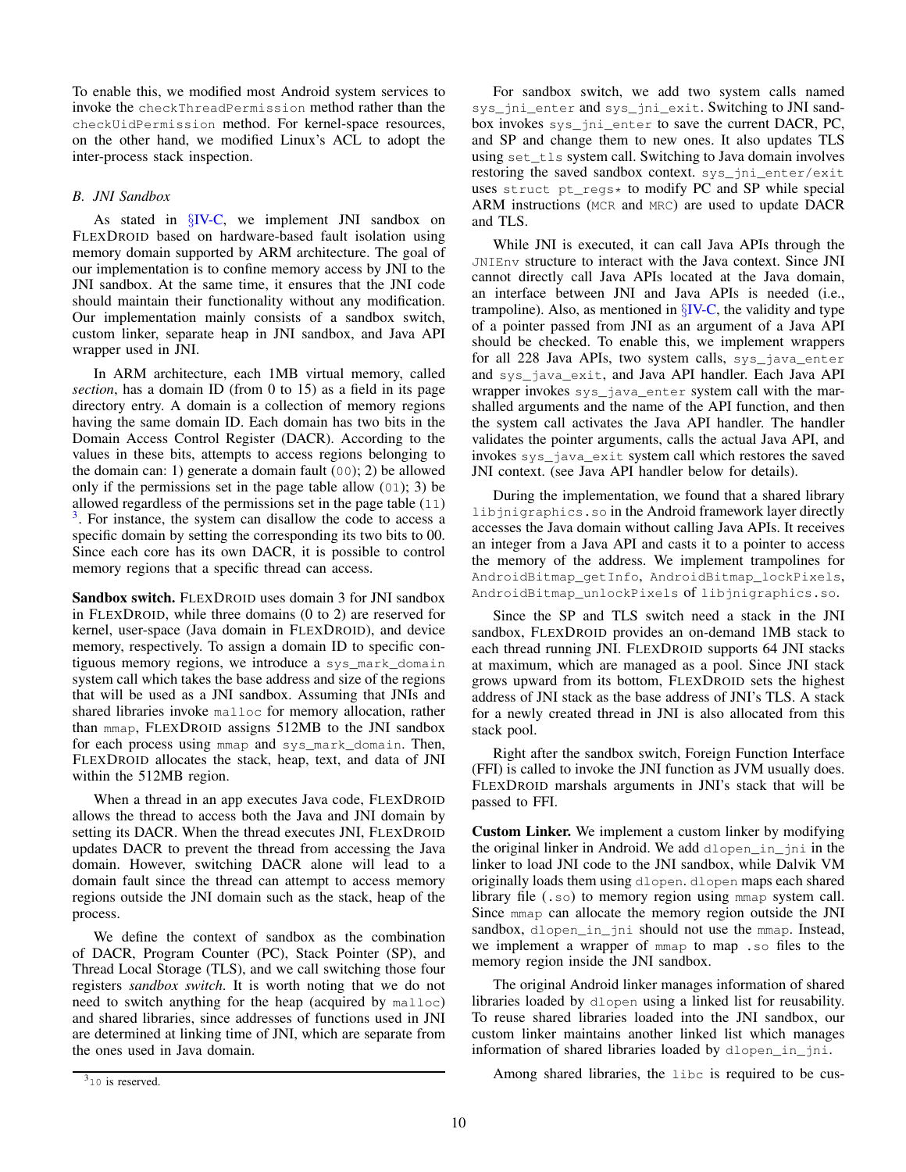To enable this, we modified most Android system services to invoke the checkThreadPermission method rather than the checkUidPermission method. For kernel-space resources, on the other hand, we modified Linux's ACL to adopt the inter-process stack inspection.

# <span id="page-9-1"></span>*B. JNI Sandbox*

As stated in §[IV-C,](#page-5-0) we implement JNI sandbox on FLEXDROID based on hardware-based fault isolation using memory domain supported by ARM architecture. The goal of our implementation is to confine memory access by JNI to the JNI sandbox. At the same time, it ensures that the JNI code should maintain their functionality without any modification. Our implementation mainly consists of a sandbox switch, custom linker, separate heap in JNI sandbox, and Java API wrapper used in JNI.

In ARM architecture, each 1MB virtual memory, called *section*, has a domain ID (from 0 to 15) as a field in its page directory entry. A domain is a collection of memory regions having the same domain ID. Each domain has two bits in the Domain Access Control Register (DACR). According to the values in these bits, attempts to access regions belonging to the domain can: 1) generate a domain fault (00); 2) be allowed only if the permissions set in the page table allow (01); 3) be allowed regardless of the permissions set in the page table (11)  $3$ . For instance, the system can disallow the code to access a specific domain by setting the corresponding its two bits to 00. Since each core has its own DACR, it is possible to control memory regions that a specific thread can access.

Sandbox switch. FLEXDROID uses domain 3 for JNI sandbox in FLEXDROID, while three domains (0 to 2) are reserved for kernel, user-space (Java domain in FLEXDROID), and device memory, respectively. To assign a domain ID to specific contiguous memory regions, we introduce a sys\_mark\_domain system call which takes the base address and size of the regions that will be used as a JNI sandbox. Assuming that JNIs and shared libraries invoke malloc for memory allocation, rather than mmap, FLEXDROID assigns 512MB to the JNI sandbox for each process using mmap and sys\_mark\_domain. Then, FLEXDROID allocates the stack, heap, text, and data of JNI within the 512MB region.

When a thread in an app executes Java code, FLEXDROID allows the thread to access both the Java and JNI domain by setting its DACR. When the thread executes JNI, FLEXDROID updates DACR to prevent the thread from accessing the Java domain. However, switching DACR alone will lead to a domain fault since the thread can attempt to access memory regions outside the JNI domain such as the stack, heap of the process.

We define the context of sandbox as the combination of DACR, Program Counter (PC), Stack Pointer (SP), and Thread Local Storage (TLS), and we call switching those four registers *sandbox switch*. It is worth noting that we do not need to switch anything for the heap (acquired by malloc) and shared libraries, since addresses of functions used in JNI are determined at linking time of JNI, which are separate from the ones used in Java domain.

While JNI is executed, it can call Java APIs through the JNIEnv structure to interact with the Java context. Since JNI cannot directly call Java APIs located at the Java domain, an interface between JNI and Java APIs is needed (i.e., trampoline). Also, as mentioned in  $\S$ [IV-C,](#page-5-0) the validity and type of a pointer passed from JNI as an argument of a Java API should be checked. To enable this, we implement wrappers for all 228 Java APIs, two system calls, sys\_java\_enter and sys\_java\_exit, and Java API handler. Each Java API wrapper invokes sys\_java\_enter system call with the marshalled arguments and the name of the API function, and then the system call activates the Java API handler. The handler validates the pointer arguments, calls the actual Java API, and invokes sys\_java\_exit system call which restores the saved JNI context. (see Java API handler below for details).

During the implementation, we found that a shared library libjnigraphics.so in the Android framework layer directly accesses the Java domain without calling Java APIs. It receives an integer from a Java API and casts it to a pointer to access the memory of the address. We implement trampolines for AndroidBitmap\_getInfo, AndroidBitmap\_lockPixels, AndroidBitmap\_unlockPixels of libjnigraphics.so.

Since the SP and TLS switch need a stack in the JNI sandbox, FLEXDROID provides an on-demand 1MB stack to each thread running JNI. FLEXDROID supports 64 JNI stacks at maximum, which are managed as a pool. Since JNI stack grows upward from its bottom, FLEXDROID sets the highest address of JNI stack as the base address of JNI's TLS. A stack for a newly created thread in JNI is also allocated from this stack pool.

Right after the sandbox switch, Foreign Function Interface (FFI) is called to invoke the JNI function as JVM usually does. FLEXDROID marshals arguments in JNI's stack that will be passed to FFI.

Custom Linker. We implement a custom linker by modifying the original linker in Android. We add dlopen\_in\_jni in the linker to load JNI code to the JNI sandbox, while Dalvik VM originally loads them using dlopen. dlopen maps each shared library file (.so) to memory region using mmap system call. Since mmap can allocate the memory region outside the JNI sandbox, dlopen\_in\_jni should not use the mmap. Instead, we implement a wrapper of mmap to map .so files to the memory region inside the JNI sandbox.

The original Android linker manages information of shared libraries loaded by dlopen using a linked list for reusability. To reuse shared libraries loaded into the JNI sandbox, our custom linker maintains another linked list which manages information of shared libraries loaded by dlopen\_in\_jni.

Among shared libraries, the libc is required to be cus-

For sandbox switch, we add two system calls named sys\_jni\_enter and sys\_jni\_exit. Switching to JNI sandbox invokes sys\_jni\_enter to save the current DACR, PC, and SP and change them to new ones. It also updates TLS using set\_tls system call. Switching to Java domain involves restoring the saved sandbox context. sys\_jni\_enter/exit uses struct pt\_regs\* to modify PC and SP while special ARM instructions (MCR and MRC) are used to update DACR and TLS.

<span id="page-9-0"></span><sup>&</sup>lt;sup>3</sup>10 is reserved.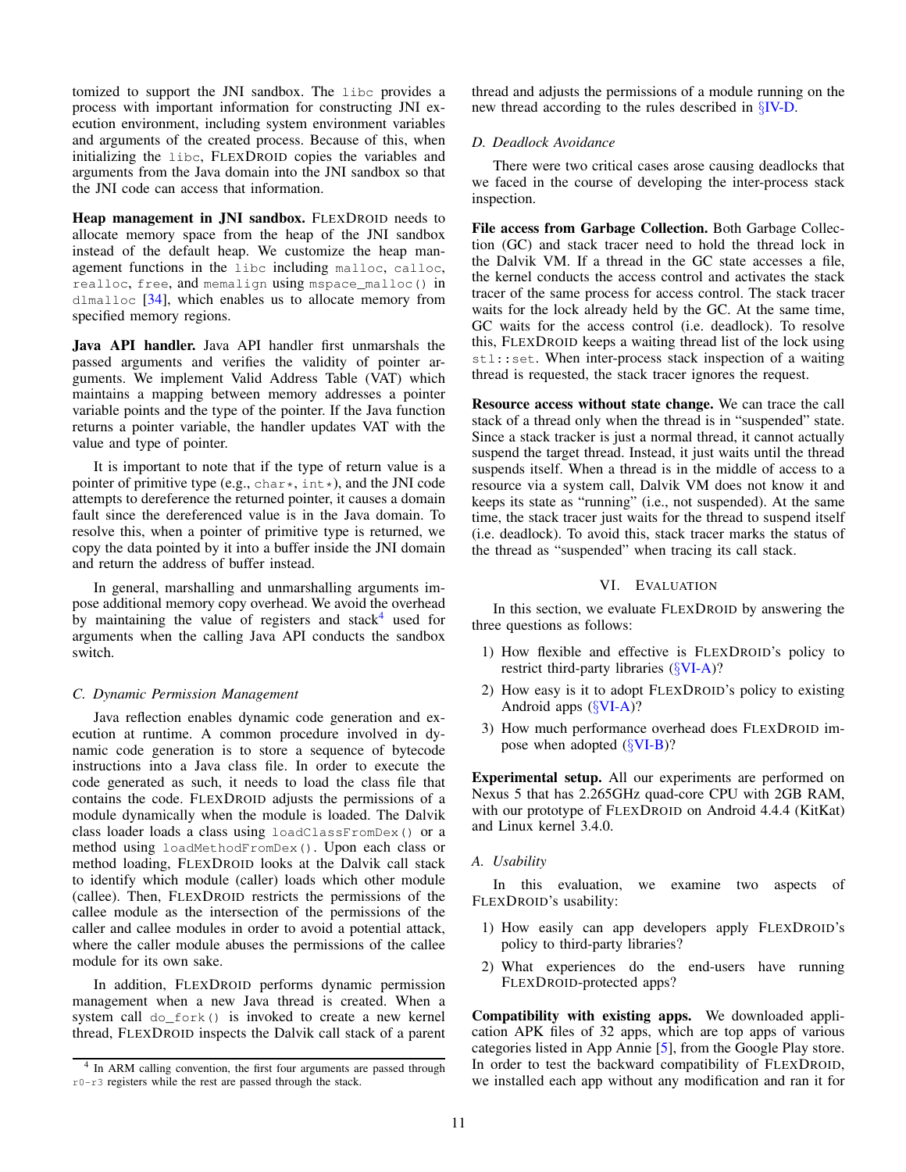tomized to support the JNI sandbox. The libc provides a process with important information for constructing JNI execution environment, including system environment variables and arguments of the created process. Because of this, when initializing the libc, FLEXDROID copies the variables and arguments from the Java domain into the JNI sandbox so that the JNI code can access that information.

Heap management in JNI sandbox. FLEXDROID needs to allocate memory space from the heap of the JNI sandbox instead of the default heap. We customize the heap management functions in the libc including malloc, calloc, realloc, free, and memalign using mspace\_malloc() in dlmalloc [\[34\]](#page-14-39), which enables us to allocate memory from specified memory regions.

Java API handler. Java API handler first unmarshals the passed arguments and verifies the validity of pointer arguments. We implement Valid Address Table (VAT) which maintains a mapping between memory addresses a pointer variable points and the type of the pointer. If the Java function returns a pointer variable, the handler updates VAT with the value and type of pointer.

It is important to note that if the type of return value is a pointer of primitive type (e.g., char\*, int\*), and the JNI code attempts to dereference the returned pointer, it causes a domain fault since the dereferenced value is in the Java domain. To resolve this, when a pointer of primitive type is returned, we copy the data pointed by it into a buffer inside the JNI domain and return the address of buffer instead.

In general, marshalling and unmarshalling arguments impose additional memory copy overhead. We avoid the overhead by maintaining the value of registers and stack<sup>[4](#page-10-0)</sup> used for arguments when the calling Java API conducts the sandbox switch.

# *C. Dynamic Permission Management*

Java reflection enables dynamic code generation and execution at runtime. A common procedure involved in dynamic code generation is to store a sequence of bytecode instructions into a Java class file. In order to execute the code generated as such, it needs to load the class file that contains the code. FLEXDROID adjusts the permissions of a module dynamically when the module is loaded. The Dalvik class loader loads a class using loadClassFromDex() or a method using loadMethodFromDex(). Upon each class or method loading, FLEXDROID looks at the Dalvik call stack to identify which module (caller) loads which other module (callee). Then, FLEXDROID restricts the permissions of the callee module as the intersection of the permissions of the caller and callee modules in order to avoid a potential attack, where the caller module abuses the permissions of the callee module for its own sake.

In addition, FLEXDROID performs dynamic permission management when a new Java thread is created. When a system call do\_fork() is invoked to create a new kernel thread, FLEXDROID inspects the Dalvik call stack of a parent thread and adjusts the permissions of a module running on the new thread according to the rules described in §[IV-D.](#page-6-0)

#### *D. Deadlock Avoidance*

There were two critical cases arose causing deadlocks that we faced in the course of developing the inter-process stack inspection.

File access from Garbage Collection. Both Garbage Collection (GC) and stack tracer need to hold the thread lock in the Dalvik VM. If a thread in the GC state accesses a file, the kernel conducts the access control and activates the stack tracer of the same process for access control. The stack tracer waits for the lock already held by the GC. At the same time, GC waits for the access control (i.e. deadlock). To resolve this, FLEXDROID keeps a waiting thread list of the lock using stl::set. When inter-process stack inspection of a waiting thread is requested, the stack tracer ignores the request.

Resource access without state change. We can trace the call stack of a thread only when the thread is in "suspended" state. Since a stack tracker is just a normal thread, it cannot actually suspend the target thread. Instead, it just waits until the thread suspends itself. When a thread is in the middle of access to a resource via a system call, Dalvik VM does not know it and keeps its state as "running" (i.e., not suspended). At the same time, the stack tracer just waits for the thread to suspend itself (i.e. deadlock). To avoid this, stack tracer marks the status of the thread as "suspended" when tracing its call stack.

## VI. EVALUATION

In this section, we evaluate FLEXDROID by answering the three questions as follows:

- 1) How flexible and effective is FLEXDROID's policy to restrict third-party libraries (§[VI-A\)](#page-10-1)?
- 2) How easy is it to adopt FLEXDROID's policy to existing Android apps (§[VI-A\)](#page-10-1)?
- 3) How much performance overhead does FLEXDROID impose when adopted  $(\SVI-B)$  $(\SVI-B)$ ?

Experimental setup. All our experiments are performed on Nexus 5 that has 2.265GHz quad-core CPU with 2GB RAM, with our prototype of FLEXDROID on Android 4.4.4 (KitKat) and Linux kernel 3.4.0.

<span id="page-10-1"></span>*A. Usability*

In this evaluation, we examine two aspects of FLEXDROID's usability:

- 1) How easily can app developers apply FLEXDROID's policy to third-party libraries?
- 2) What experiences do the end-users have running FLEXDROID-protected apps?

Compatibility with existing apps. We downloaded application APK files of 32 apps, which are top apps of various categories listed in App Annie [\[5\]](#page-14-40), from the Google Play store. In order to test the backward compatibility of FLEXDROID, we installed each app without any modification and ran it for

<span id="page-10-0"></span><sup>&</sup>lt;sup>4</sup> In ARM calling convention, the first four arguments are passed through r0-r3 registers while the rest are passed through the stack.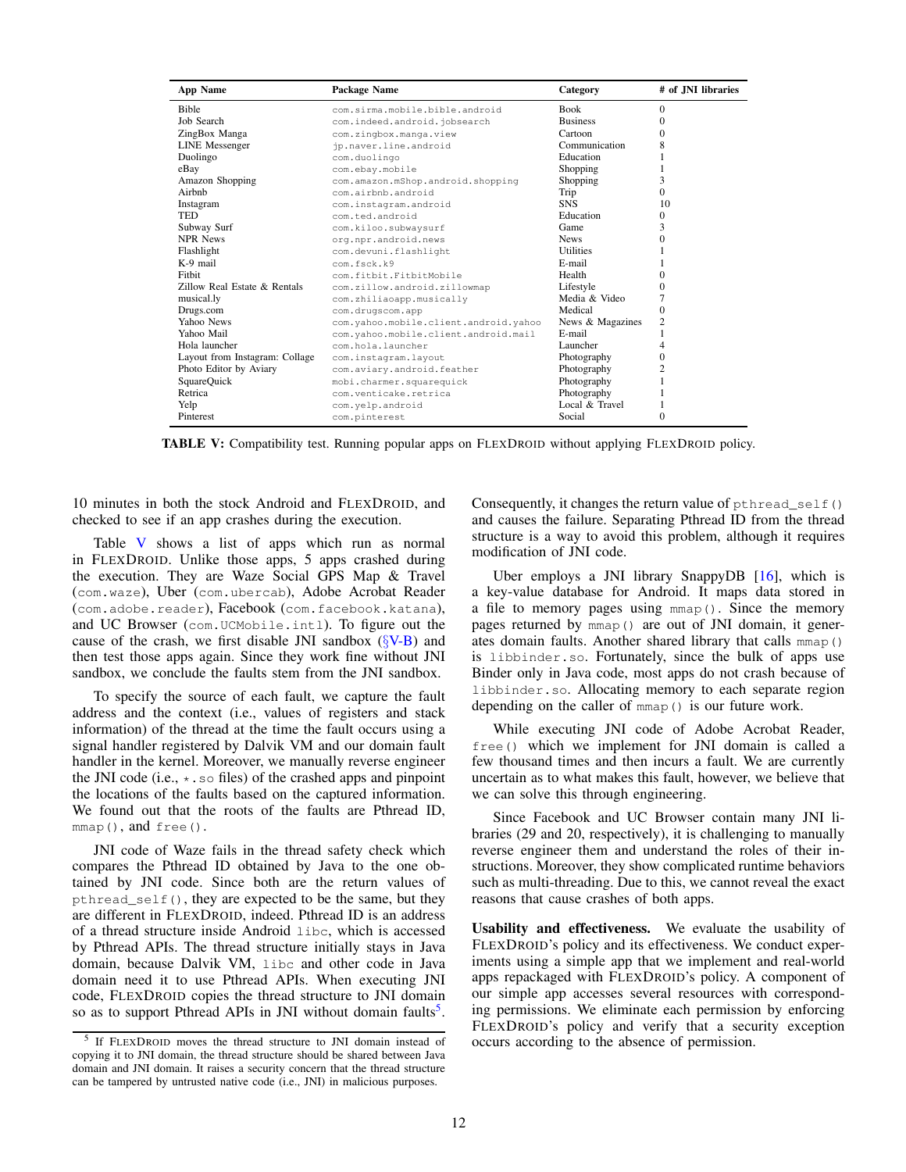<span id="page-11-0"></span>

| <b>App Name</b>                | Package Name                          | Category         | # of JNI libraries |
|--------------------------------|---------------------------------------|------------------|--------------------|
| <b>Bible</b>                   | com.sirma.mobile.bible.android        | <b>Book</b>      | $\Omega$           |
| Job Search                     | com.indeed.android.jobsearch          | <b>Business</b>  | $\Omega$           |
| ZingBox Manga                  | com.zingbox.manga.view                | Cartoon          | $\Omega$           |
| <b>LINE</b> Messenger          | jp.naver.line.android                 | Communication    | 8                  |
| Duolingo                       | com.duolingo                          | Education        |                    |
| eBay                           | com.ebay.mobile                       | Shopping         |                    |
| Amazon Shopping                | com.amazon.mShop.android.shopping     | Shopping         | 3                  |
| Airbnb                         | com.airbnb.android                    | Trip             | $\Omega$           |
| Instagram                      | com.instagram.android                 | <b>SNS</b>       | 10                 |
| TED                            | com.ted.android                       | Education        | 0                  |
| Subway Surf                    | com.kiloo.subwaysurf                  | Game             | 3                  |
| <b>NPR News</b>                | org.npr.android.news                  | <b>News</b>      | $\Omega$           |
| Flashlight                     | com.devuni.flashlight                 | <b>Utilities</b> |                    |
| $K-9$ mail                     | com.fsck.k9                           | E-mail           |                    |
| Fithit                         | com.fitbit.FitbitMobile               | Health           | $\Omega$           |
| Zillow Real Estate & Rentals   | com.zillow.android.zillowmap          | Lifestyle        | $\Omega$           |
| musical.ly                     | com.zhiliaoapp.musically              | Media & Video    |                    |
| Drugs.com                      | com.drugscom.app                      | Medical          | $\Omega$           |
| Yahoo News                     | com.yahoo.mobile.client.android.yahoo | News & Magazines | $\overline{2}$     |
| Yahoo Mail                     | com.vahoo.mobile.client.android.mail  | E-mail           |                    |
| Hola launcher                  | com.hola.launcher                     | Launcher         | 4                  |
| Layout from Instagram: Collage | com.instagram.layout                  | Photography      | 0                  |
| Photo Editor by Aviary         | com.aviary.android.feather            | Photography      | 2                  |
| SquareQuick                    | mobi.charmer.squarequick              | Photography      |                    |
| Retrica                        | com.venticake.retrica                 | Photography      |                    |
| Yelp                           | com.yelp.android                      | Local & Travel   |                    |
| Pinterest                      | com.pinterest                         | Social           | $\Omega$           |

TABLE V: Compatibility test. Running popular apps on FLEXDROID without applying FLEXDROID policy.

10 minutes in both the stock Android and FLEXDROID, and checked to see if an app crashes during the execution.

Table [V](#page-11-0) shows a list of apps which run as normal in FLEXDROID. Unlike those apps, 5 apps crashed during the execution. They are Waze Social GPS Map & Travel (com.waze), Uber (com.ubercab), Adobe Acrobat Reader (com.adobe.reader), Facebook (com.facebook.katana), and UC Browser (com.UCMobile.intl). To figure out the cause of the crash, we first disable JNI sandbox  $(\S_{\rm V-B})$  and then test those apps again. Since they work fine without JNI sandbox, we conclude the faults stem from the JNI sandbox.

To specify the source of each fault, we capture the fault address and the context (i.e., values of registers and stack information) of the thread at the time the fault occurs using a signal handler registered by Dalvik VM and our domain fault handler in the kernel. Moreover, we manually reverse engineer the JNI code (i.e.,  $\star$ . so files) of the crashed apps and pinpoint the locations of the faults based on the captured information. We found out that the roots of the faults are Pthread ID,  $mmap()$ , and free().

JNI code of Waze fails in the thread safety check which compares the Pthread ID obtained by Java to the one obtained by JNI code. Since both are the return values of pthread\_self(), they are expected to be the same, but they are different in FLEXDROID, indeed. Pthread ID is an address of a thread structure inside Android libc, which is accessed by Pthread APIs. The thread structure initially stays in Java domain, because Dalvik VM, libc and other code in Java domain need it to use Pthread APIs. When executing JNI code, FLEXDROID copies the thread structure to JNI domain so as to support Pthread APIs in JNI without domain faults<sup>[5](#page-11-1)</sup>.

Consequently, it changes the return value of pthread\_self() and causes the failure. Separating Pthread ID from the thread structure is a way to avoid this problem, although it requires modification of JNI code.

Uber employs a JNI library SnappyDB [\[16\]](#page-14-41), which is a key-value database for Android. It maps data stored in a file to memory pages using mmap(). Since the memory pages returned by mmap() are out of JNI domain, it generates domain faults. Another shared library that calls mmap() is libbinder.so. Fortunately, since the bulk of apps use Binder only in Java code, most apps do not crash because of libbinder.so. Allocating memory to each separate region depending on the caller of mmap() is our future work.

While executing JNI code of Adobe Acrobat Reader, free() which we implement for JNI domain is called a few thousand times and then incurs a fault. We are currently uncertain as to what makes this fault, however, we believe that we can solve this through engineering.

Since Facebook and UC Browser contain many JNI libraries (29 and 20, respectively), it is challenging to manually reverse engineer them and understand the roles of their instructions. Moreover, they show complicated runtime behaviors such as multi-threading. Due to this, we cannot reveal the exact reasons that cause crashes of both apps.

Usability and effectiveness. We evaluate the usability of FLEXDROID's policy and its effectiveness. We conduct experiments using a simple app that we implement and real-world apps repackaged with FLEXDROID's policy. A component of our simple app accesses several resources with corresponding permissions. We eliminate each permission by enforcing FLEXDROID's policy and verify that a security exception occurs according to the absence of permission.

<span id="page-11-1"></span><sup>5</sup> If FLEXDROID moves the thread structure to JNI domain instead of copying it to JNI domain, the thread structure should be shared between Java domain and JNI domain. It raises a security concern that the thread structure can be tampered by untrusted native code (i.e., JNI) in malicious purposes.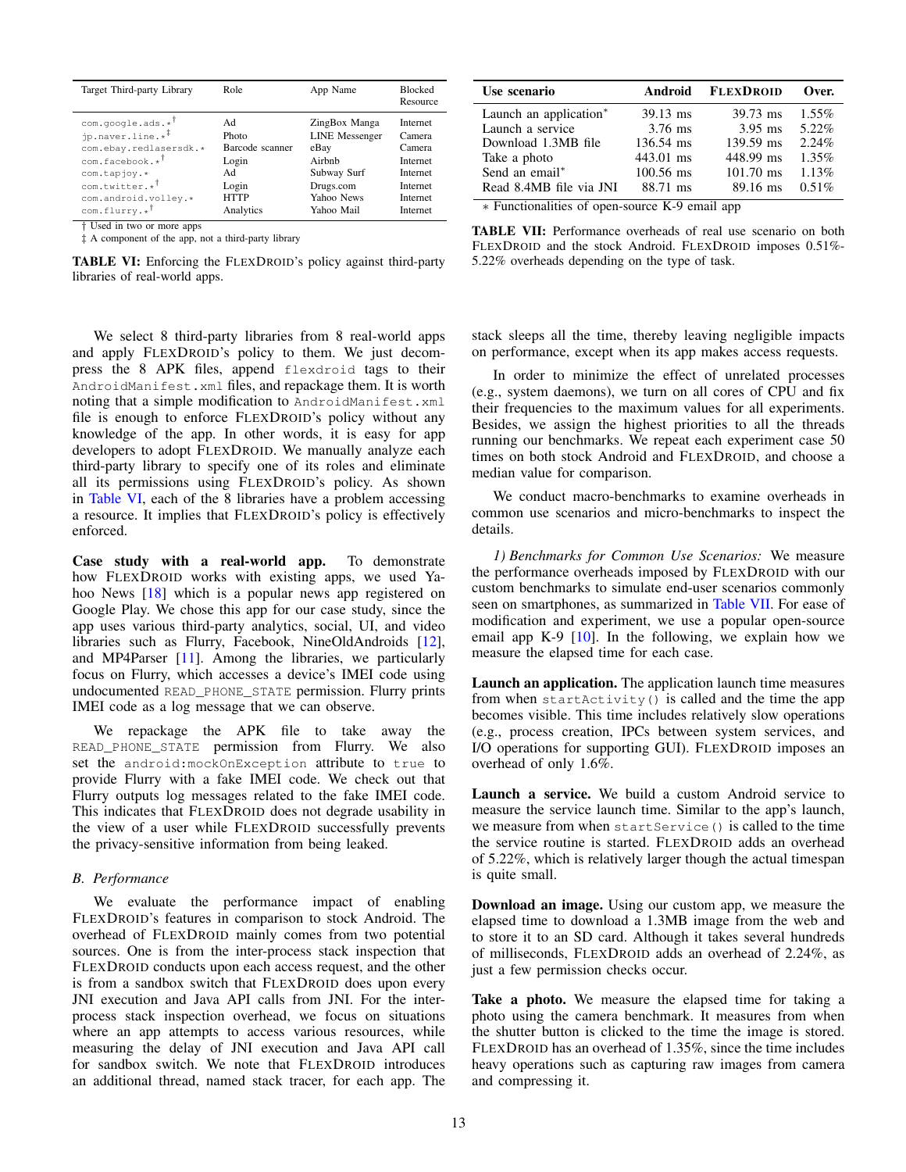<span id="page-12-1"></span>

| Target Third-party Library   | Role            | App Name              | <b>Blocked</b><br>Resource |
|------------------------------|-----------------|-----------------------|----------------------------|
| $com.google.ads.*$           | Ad              | ZingBox Manga         | Internet                   |
| jp.naver.line.* <sup>#</sup> | Photo           | <b>LINE</b> Messenger | Camera                     |
| com.ebay.redlasersdk.*       | Barcode scanner | eBay                  | Camera                     |
| com.facebook.* <sup>†</sup>  | Login           | Airbnb                | Internet                   |
| com.tapjoy.*                 | Ad              | Subway Surf           | Internet                   |
| com.twitter.* <sup>†</sup>   | Login           | Drugs.com             | Internet                   |
| com.android.volley.*         | <b>HTTP</b>     | Yahoo News            | Internet                   |
| $com.flurrv.*$               | Analytics       | Yahoo Mail            | Internet                   |

† Used in two or more apps

‡ A component of the app, not a third-party library

TABLE VI: Enforcing the FLEXDROID's policy against third-party libraries of real-world apps.

<span id="page-12-2"></span>

| Use scenario                                                                                                               | Android     | <b>FLEXDROID</b> | Over.    |
|----------------------------------------------------------------------------------------------------------------------------|-------------|------------------|----------|
| Launch an application*                                                                                                     | 39.13 ms    | 39.73 ms         | $1.55\%$ |
| Launch a service                                                                                                           | $3.76$ ms   | $3.95$ ms        | 5.22%    |
| Download 1.3MB file                                                                                                        | 136.54 ms   | 139.59 ms        | 2.24%    |
| Take a photo                                                                                                               | 443.01 ms   | 448.99 ms        | $1.35\%$ |
| Send an email*                                                                                                             | $100.56$ ms | $101.70$ ms      | 1.13%    |
| Read 8.4MB file via JNI<br>$\mathbf{F}$ Departing the set of the set of the $\mathbf{V}$ $\mathbf{0}$ and $\mathbf{0}$ and | 88.71 ms    | 89.16 ms         | 0.51%    |

∗ Functionalities of open-source K-9 email app

TABLE VII: Performance overheads of real use scenario on both FLEXDROID and the stock Android. FLEXDROID imposes 0.51%- 5.22% overheads depending on the type of task.

We select 8 third-party libraries from 8 real-world apps and apply FLEXDROID's policy to them. We just decompress the 8 APK files, append flexdroid tags to their AndroidManifest.xml files, and repackage them. It is worth noting that a simple modification to AndroidManifest.xml file is enough to enforce FLEXDROID's policy without any knowledge of the app. In other words, it is easy for app developers to adopt FLEXDROID. We manually analyze each third-party library to specify one of its roles and eliminate all its permissions using FLEXDROID's policy. As shown in [Table VI,](#page-12-1) each of the 8 libraries have a problem accessing a resource. It implies that FLEXDROID's policy is effectively enforced.

Case study with a real-world app. To demonstrate how FLEXDROID works with existing apps, we used Yahoo News [\[18\]](#page-14-42) which is a popular news app registered on Google Play. We chose this app for our case study, since the app uses various third-party analytics, social, UI, and video libraries such as Flurry, Facebook, NineOldAndroids [\[12\]](#page-14-43), and MP4Parser [\[11\]](#page-14-44). Among the libraries, we particularly focus on Flurry, which accesses a device's IMEI code using undocumented READ\_PHONE\_STATE permission. Flurry prints IMEI code as a log message that we can observe.

We repackage the APK file to take away the READ\_PHONE\_STATE permission from Flurry. We also set the android:mockOnException attribute to true to provide Flurry with a fake IMEI code. We check out that Flurry outputs log messages related to the fake IMEI code. This indicates that FLEXDROID does not degrade usability in the view of a user while FLEXDROID successfully prevents the privacy-sensitive information from being leaked.

# <span id="page-12-0"></span>*B. Performance*

We evaluate the performance impact of enabling FLEXDROID's features in comparison to stock Android. The overhead of FLEXDROID mainly comes from two potential sources. One is from the inter-process stack inspection that FLEXDROID conducts upon each access request, and the other is from a sandbox switch that FLEXDROID does upon every JNI execution and Java API calls from JNI. For the interprocess stack inspection overhead, we focus on situations where an app attempts to access various resources, while measuring the delay of JNI execution and Java API call for sandbox switch. We note that FLEXDROID introduces an additional thread, named stack tracer, for each app. The stack sleeps all the time, thereby leaving negligible impacts on performance, except when its app makes access requests.

In order to minimize the effect of unrelated processes (e.g., system daemons), we turn on all cores of CPU and fix their frequencies to the maximum values for all experiments. Besides, we assign the highest priorities to all the threads running our benchmarks. We repeat each experiment case 50 times on both stock Android and FLEXDROID, and choose a median value for comparison.

We conduct macro-benchmarks to examine overheads in common use scenarios and micro-benchmarks to inspect the details.

*1) Benchmarks for Common Use Scenarios:* We measure the performance overheads imposed by FLEXDROID with our custom benchmarks to simulate end-user scenarios commonly seen on smartphones, as summarized in [Table VII.](#page-12-2) For ease of modification and experiment, we use a popular open-source email app K-9 [\[10\]](#page-14-45). In the following, we explain how we measure the elapsed time for each case.

Launch an application. The application launch time measures from when startActivity() is called and the time the app becomes visible. This time includes relatively slow operations (e.g., process creation, IPCs between system services, and I/O operations for supporting GUI). FLEXDROID imposes an overhead of only 1.6%.

Launch a service. We build a custom Android service to measure the service launch time. Similar to the app's launch, we measure from when startService() is called to the time the service routine is started. FLEXDROID adds an overhead of 5.22%, which is relatively larger though the actual timespan is quite small.

Download an image. Using our custom app, we measure the elapsed time to download a 1.3MB image from the web and to store it to an SD card. Although it takes several hundreds of milliseconds, FLEXDROID adds an overhead of 2.24%, as just a few permission checks occur.

Take a photo. We measure the elapsed time for taking a photo using the camera benchmark. It measures from when the shutter button is clicked to the time the image is stored. FLEXDROID has an overhead of 1.35%, since the time includes heavy operations such as capturing raw images from camera and compressing it.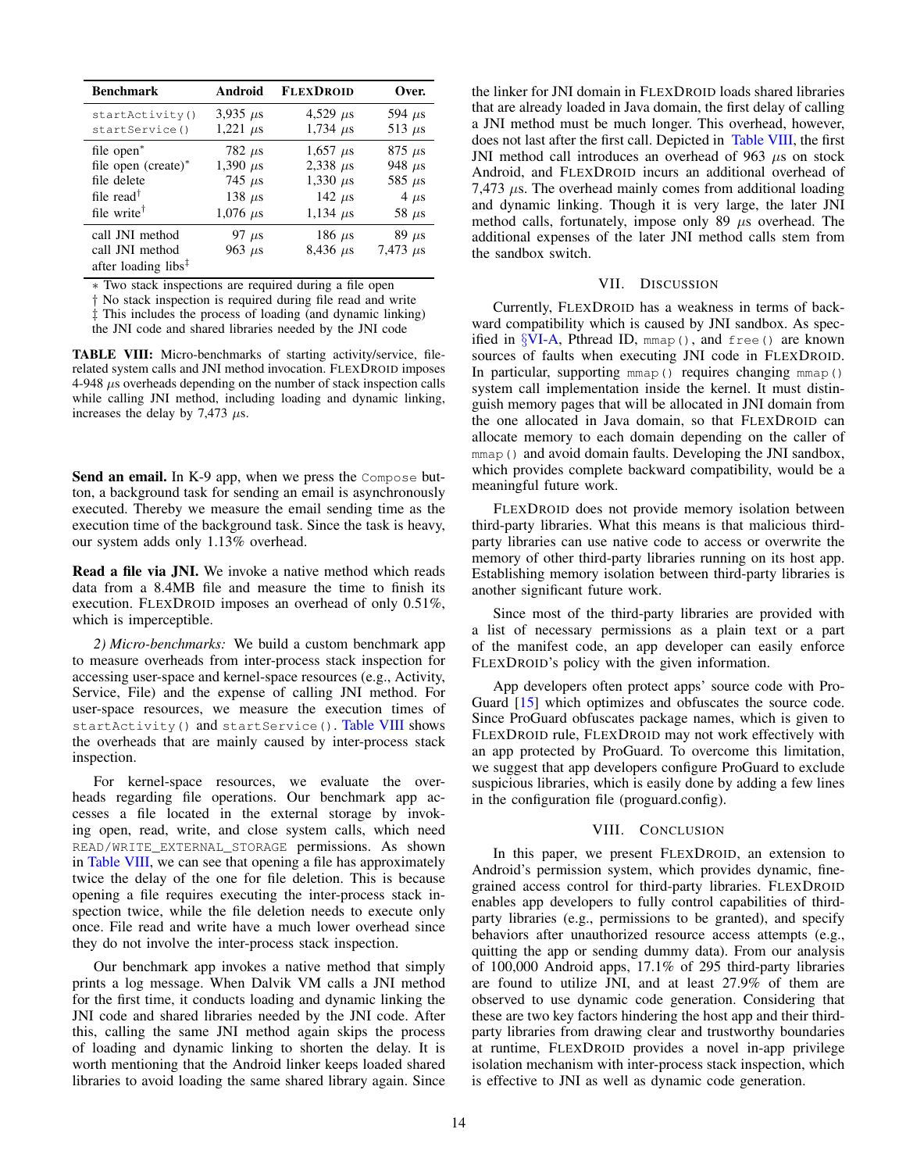<span id="page-13-0"></span>

| <b>Benchmark</b>                                                                          | Android                   | <b>FLEXDROID</b>               | Over.                         |
|-------------------------------------------------------------------------------------------|---------------------------|--------------------------------|-------------------------------|
| startActivity()                                                                           | 3,935 $\mu$ s             | 4,529 $\mu$ s                  | 594 $\mu$ s                   |
| startService()                                                                            | 1,221 $\mu$ s             | $1,734 \ \mu s$                | 513 $\mu$ s                   |
| file open <sup>*</sup>                                                                    | 782 $\mu$ s               | $1,657 \,\mu s$                | $875 \; \mu s$                |
| file open $(create)^*$                                                                    | 1,390 $\mu$ s             | 2,338 $\mu$ s                  | 948 $\mu$ s                   |
| file delete                                                                               | 745 $\mu$ s               | 1,330 $\mu$ s                  | 585 $\mu$ s                   |
| file read <sup><math>\dagger</math></sup>                                                 | 138 $\mu$ s               | 142 $\mu$ s                    | $4 \mu s$                     |
| file write <sup><math>\dagger</math></sup>                                                | $1,076 \ \mu s$           | 1,134 $\mu$ s                  | 58 $\mu$ s                    |
| call JNI method<br>call JNI method<br>after loading libs <sup><math>\ddagger</math></sup> | 97 $\mu$ s<br>963 $\mu$ s | 186 $\mu$ s<br>$8,436 \,\mu s$ | $89 \mu s$<br>$7,473 \,\mu s$ |

∗ Two stack inspections are required during a file open

† No stack inspection is required during file read and write

‡ This includes the process of loading (and dynamic linking)

the JNI code and shared libraries needed by the JNI code

TABLE VIII: Micro-benchmarks of starting activity/service, filerelated system calls and JNI method invocation. FLEXDROID imposes 4-948 µs overheads depending on the number of stack inspection calls while calling JNI method, including loading and dynamic linking, increases the delay by 7,473  $\mu$ s.

Send an email. In K-9 app, when we press the Compose button, a background task for sending an email is asynchronously executed. Thereby we measure the email sending time as the execution time of the background task. Since the task is heavy, our system adds only 1.13% overhead.

Read a file via JNI. We invoke a native method which reads data from a 8.4MB file and measure the time to finish its execution. FLEXDROID imposes an overhead of only 0.51%, which is imperceptible.

*2) Micro-benchmarks:* We build a custom benchmark app to measure overheads from inter-process stack inspection for accessing user-space and kernel-space resources (e.g., Activity, Service, File) and the expense of calling JNI method. For user-space resources, we measure the execution times of startActivity() and startService(). [Table VIII](#page-13-0) shows the overheads that are mainly caused by inter-process stack inspection.

For kernel-space resources, we evaluate the overheads regarding file operations. Our benchmark app accesses a file located in the external storage by invoking open, read, write, and close system calls, which need READ/WRITE\_EXTERNAL\_STORAGE permissions. As shown in [Table VIII,](#page-13-0) we can see that opening a file has approximately twice the delay of the one for file deletion. This is because opening a file requires executing the inter-process stack inspection twice, while the file deletion needs to execute only once. File read and write have a much lower overhead since they do not involve the inter-process stack inspection.

Our benchmark app invokes a native method that simply prints a log message. When Dalvik VM calls a JNI method for the first time, it conducts loading and dynamic linking the JNI code and shared libraries needed by the JNI code. After this, calling the same JNI method again skips the process of loading and dynamic linking to shorten the delay. It is worth mentioning that the Android linker keeps loaded shared libraries to avoid loading the same shared library again. Since the linker for JNI domain in FLEXDROID loads shared libraries that are already loaded in Java domain, the first delay of calling a JNI method must be much longer. This overhead, however, does not last after the first call. Depicted in [Table VIII,](#page-13-0) the first JNI method call introduces an overhead of 963  $\mu$ s on stock Android, and FLEXDROID incurs an additional overhead of 7,473  $\mu$ s. The overhead mainly comes from additional loading and dynamic linking. Though it is very large, the later JNI method calls, fortunately, impose only 89  $\mu$ s overhead. The additional expenses of the later JNI method calls stem from the sandbox switch.

# VII. DISCUSSION

Currently, FLEXDROID has a weakness in terms of backward compatibility which is caused by JNI sandbox. As specified in  $\text{VIA}$ , Pthread ID, mmap(), and free() are known sources of faults when executing JNI code in FLEXDROID. In particular, supporting mmap() requires changing mmap() system call implementation inside the kernel. It must distinguish memory pages that will be allocated in JNI domain from the one allocated in Java domain, so that FLEXDROID can allocate memory to each domain depending on the caller of mmap() and avoid domain faults. Developing the JNI sandbox, which provides complete backward compatibility, would be a meaningful future work.

FLEXDROID does not provide memory isolation between third-party libraries. What this means is that malicious thirdparty libraries can use native code to access or overwrite the memory of other third-party libraries running on its host app. Establishing memory isolation between third-party libraries is another significant future work.

Since most of the third-party libraries are provided with a list of necessary permissions as a plain text or a part of the manifest code, an app developer can easily enforce FLEXDROID's policy with the given information.

App developers often protect apps' source code with Pro-Guard [\[15\]](#page-14-46) which optimizes and obfuscates the source code. Since ProGuard obfuscates package names, which is given to FLEXDROID rule, FLEXDROID may not work effectively with an app protected by ProGuard. To overcome this limitation, we suggest that app developers configure ProGuard to exclude suspicious libraries, which is easily done by adding a few lines in the configuration file (proguard.config).

# VIII. CONCLUSION

In this paper, we present FLEXDROID, an extension to Android's permission system, which provides dynamic, finegrained access control for third-party libraries. FLEXDROID enables app developers to fully control capabilities of thirdparty libraries (e.g., permissions to be granted), and specify behaviors after unauthorized resource access attempts (e.g., quitting the app or sending dummy data). From our analysis of 100,000 Android apps, 17.1% of 295 third-party libraries are found to utilize JNI, and at least 27.9% of them are observed to use dynamic code generation. Considering that these are two key factors hindering the host app and their thirdparty libraries from drawing clear and trustworthy boundaries at runtime, FLEXDROID provides a novel in-app privilege isolation mechanism with inter-process stack inspection, which is effective to JNI as well as dynamic code generation.